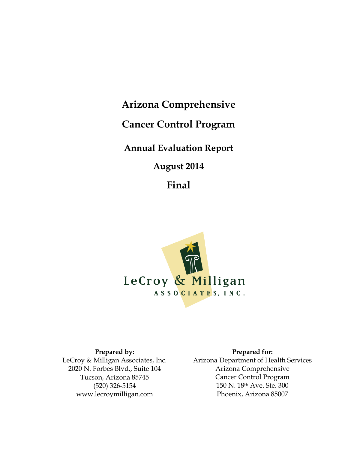**Arizona Comprehensive**

**Cancer Control Program**

**Annual Evaluation Report**

**August 2014**

**Final**



**Prepared by:** LeCroy & Milligan Associates, Inc. 2020 N. Forbes Blvd., Suite 104 Tucson, Arizona 85745 (520) 326-5154 www.lecroymilligan.com

**Prepared for:** Arizona Department of Health Services Arizona Comprehensive Cancer Control Program 150 N. 18th Ave. Ste. 300 Phoenix, Arizona 85007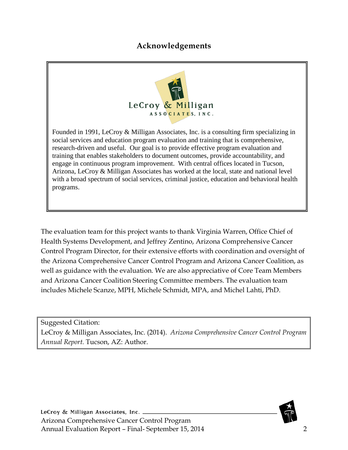## **Acknowledgements**

<span id="page-1-0"></span>

Founded in 1991, LeCroy & Milligan Associates, Inc. is a consulting firm specializing in social services and education program evaluation and training that is comprehensive, research-driven and useful. Our goal is to provide effective program evaluation and training that enables stakeholders to document outcomes, provide accountability, and engage in continuous program improvement. With central offices located in Tucson, Arizona, LeCroy & Milligan Associates has worked at the local, state and national level with a broad spectrum of social services, criminal justice, education and behavioral health programs.

The evaluation team for this project wants to thank Virginia Warren, Office Chief of Health Systems Development, and Jeffrey Zentino, Arizona Comprehensive Cancer Control Program Director, for their extensive efforts with coordination and oversight of the Arizona Comprehensive Cancer Control Program and Arizona Cancer Coalition, as well as guidance with the evaluation. We are also appreciative of Core Team Members and Arizona Cancer Coalition Steering Committee members. The evaluation team includes Michele Scanze, MPH, Michele Schmidt, MPA, and Michel Lahti, PhD.

Suggested Citation:

LeCroy & Milligan Associates, Inc. (2014). *Arizona Comprehensive Cancer Control Program Annual Report.* Tucson, AZ: Author.

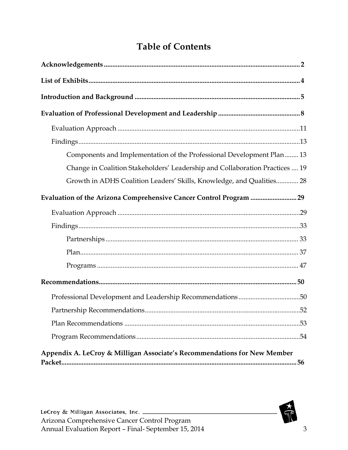# **Table of Contents**

| Components and Implementation of the Professional Development Plan 13        |  |
|------------------------------------------------------------------------------|--|
| Change in Coalition Stakeholders' Leadership and Collaboration Practices  19 |  |
| Growth in ADHS Coalition Leaders' Skills, Knowledge, and Qualities 28        |  |
| Evaluation of the Arizona Comprehensive Cancer Control Program 29            |  |
|                                                                              |  |
|                                                                              |  |
|                                                                              |  |
|                                                                              |  |
|                                                                              |  |
|                                                                              |  |
| Professional Development and Leadership Recommendations50                    |  |
|                                                                              |  |
|                                                                              |  |
|                                                                              |  |
| Appendix A. LeCroy & Milligan Associate's Recommendations for New Member     |  |

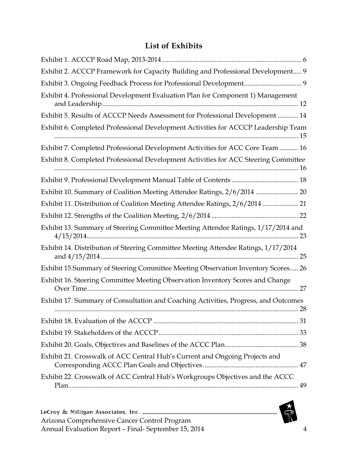## **List of Exhibits**

<span id="page-3-0"></span>

| Exhibit 2. ACCCP Framework for Capacity Building and Professional Development 9     |             |
|-------------------------------------------------------------------------------------|-------------|
| Exhibit 3. Ongoing Feedback Process for Professional Development 9                  |             |
| Exhibit 4. Professional Development Evaluation Plan for Component 1) Management     |             |
| Exhibit 5. Results of ACCCP Needs Assessment for Professional Development  14       |             |
| Exhibit 6. Completed Professional Development Activities for ACCCP Leadership Team  |             |
| Exhibit 7. Completed Professional Development Activities for ACC Core Team  16      |             |
| Exhibit 8. Completed Professional Development Activities for ACC Steering Committee |             |
|                                                                                     |             |
| Exhibit 10. Summary of Coalition Meeting Attendee Ratings, 2/6/2014  20             |             |
| Exhibit 11. Distribution of Coalition Meeting Attendee Ratings, 2/6/2014  21        |             |
|                                                                                     |             |
| Exhibit 13. Summary of Steering Committee Meeting Attendee Ratings, 1/17/2014 and   |             |
| Exhibit 14. Distribution of Steering Committee Meeting Attendee Ratings, 1/17/2014  |             |
| Exhibit 15.Summary of Steering Committee Meeting Observation Inventory Scores 26    |             |
| Exhibit 16. Steering Committee Meeting Observation Inventory Scores and Change      |             |
| Exhibit 17. Summary of Consultation and Coaching Activities, Progress, and Outcomes | $\ldots 28$ |
|                                                                                     |             |
|                                                                                     |             |
|                                                                                     |             |
| Exhibit 21. Crosswalk of ACC Central Hub's Current and Ongoing Projects and         |             |
| Exhibit 22. Crosswalk of ACC Central Hub's Workgroups Objectives and the ACCC       |             |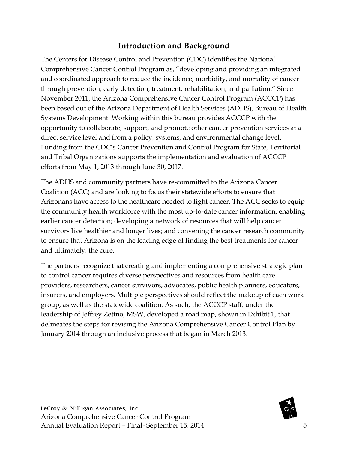## **Introduction and Background**

<span id="page-4-0"></span>The Centers for Disease Control and Prevention (CDC) identifies the National Comprehensive Cancer Control Program as, "developing and providing an integrated and coordinated approach to reduce the incidence, morbidity, and mortality of cancer through prevention, early detection, treatment, rehabilitation, and palliation." Since November 2011, the Arizona Comprehensive Cancer Control Program (ACCCP) has been based out of the Arizona Department of Health Services (ADHS), Bureau of Health Systems Development. Working within this bureau provides ACCCP with the opportunity to collaborate, support, and promote other cancer prevention services at a direct service level and from a policy, systems, and environmental change level. Funding from the CDC's Cancer Prevention and Control Program for State, Territorial and Tribal Organizations supports the implementation and evaluation of ACCCP efforts from May 1, 2013 through June 30, 2017.

The ADHS and community partners have re-committed to the Arizona Cancer Coalition (ACC) and are looking to focus their statewide efforts to ensure that Arizonans have access to the healthcare needed to fight cancer. The ACC seeks to equip the community health workforce with the most up-to-date cancer information, enabling earlier cancer detection; developing a network of resources that will help cancer survivors live healthier and longer lives; and convening the cancer research community to ensure that Arizona is on the leading edge of finding the best treatments for cancer – and ultimately, the cure.

The partners recognize that creating and implementing a comprehensive strategic plan to control cancer requires diverse perspectives and resources from health care providers, researchers, cancer survivors, advocates, public health planners, educators, insurers, and employers. Multiple perspectives should reflect the makeup of each work group, as well as the statewide coalition. As such, the ACCCP staff, under the leadership of Jeffrey Zetino, MSW, developed a road map, shown in Exhibit 1, that delineates the steps for revising the Arizona Comprehensive Cancer Control Plan by January 2014 through an inclusive process that began in March 2013.

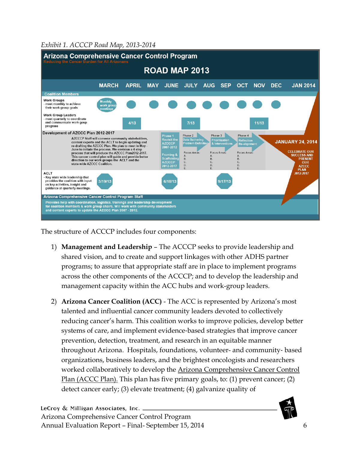#### *Exhibit 1. ACCCP Road Map, 2013-2014*



The structure of ACCCP includes four components:

- 1) **Management and Leadership** The ACCCP seeks to provide leadership and shared vision, and to create and support linkages with other ADHS partner programs; to assure that appropriate staff are in place to implement programs across the other components of the ACCCP; and to develop the leadership and management capacity within the ACC hubs and work-group leaders.
- 2) **Arizona Cancer Coalition (ACC)** The ACC is represented by Arizona's most talented and influential cancer community leaders devoted to collectively reducing cancer's harm. This coalition works to improve policies, develop better systems of care, and implement evidence‐based strategies that improve cancer prevention, detection, treatment, and research in an equitable manner throughout Arizona. Hospitals, foundations, volunteer- and community‐ based organizations, business leaders, and the brightest oncologists and researchers worked collaboratively to develop the Arizona Comprehensive Cancer Control Plan (ACCC Plan). This plan has five primary goals, to: (1) prevent cancer; (2) detect cancer early; (3) elevate treatment; (4) galvanize quality of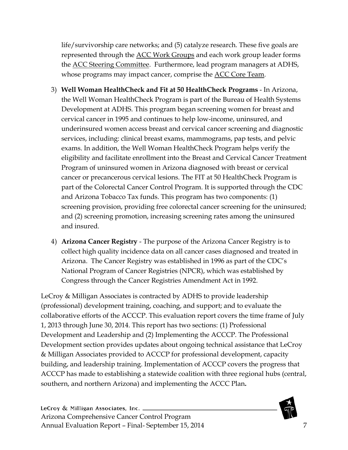life/survivorship care networks; and (5) catalyze research. These five goals are represented through the ACC Work Groups and each work group leader forms the ACC Steering Committee. Furthermore, lead program managers at ADHS, whose programs may impact cancer, comprise the **ACC Core Team**.

- 3) **Well Woman HealthCheck and Fit at 50 HealthCheck Programs** In Arizona, the Well Woman HealthCheck Program is part of the Bureau of Health Systems Development at ADHS. This program began screening women for breast and cervical cancer in 1995 and continues to help low-income, uninsured, and underinsured women access breast and cervical cancer screening and diagnostic services, including: clinical breast exams, mammograms, pap tests, and pelvic exams. In addition, the Well Woman HealthCheck Program helps verify the eligibility and facilitate enrollment into the Breast and Cervical Cancer Treatment Program of uninsured women in Arizona diagnosed with breast or cervical cancer or precancerous cervical lesions. The FIT at 50 HealthCheck Program is part of the Colorectal Cancer Control Program. It is supported through the CDC and Arizona Tobacco Tax funds. This program has two components: (1) screening provision, providing free colorectal cancer screening for the uninsured; and (2) screening promotion, increasing screening rates among the uninsured and insured.
- 4) **Arizona Cancer Registry** The purpose of the Arizona Cancer Registry is to collect high quality incidence data on all cancer cases diagnosed and treated in Arizona. The Cancer Registry was established in 1996 as part of the CDC's National Program of Cancer Registries (NPCR), which was established by Congress through the Cancer Registries Amendment Act in 1992.

LeCroy & Milligan Associates is contracted by ADHS to provide leadership (professional) development training, coaching, and support; and to evaluate the collaborative efforts of the ACCCP. This evaluation report covers the time frame of July 1, 2013 through June 30, 2014. This report has two sections: (1) Professional Development and Leadership and (2) Implementing the ACCCP. The Professional Development section provides updates about ongoing technical assistance that LeCroy & Milligan Associates provided to ACCCP for professional development, capacity building, and leadership training. Implementation of ACCCP covers the progress that ACCCP has made to establishing a statewide coalition with three regional hubs (central, southern, and northern Arizona) and implementing the ACCC Plan**.**

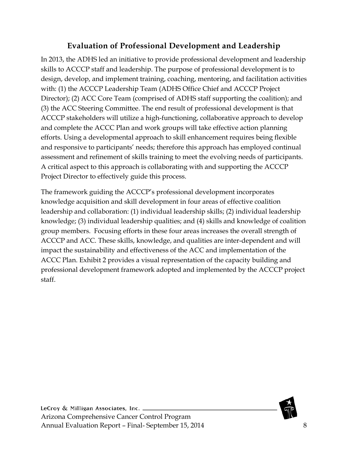## **Evaluation of Professional Development and Leadership**

<span id="page-7-0"></span>In 2013, the ADHS led an initiative to provide professional development and leadership skills to ACCCP staff and leadership. The purpose of professional development is to design, develop, and implement training, coaching, mentoring, and facilitation activities with: (1) the ACCCP Leadership Team (ADHS Office Chief and ACCCP Project Director); (2) ACC Core Team (comprised of ADHS staff supporting the coalition); and (3) the ACC Steering Committee. The end result of professional development is that ACCCP stakeholders will utilize a high-functioning, collaborative approach to develop and complete the ACCC Plan and work groups will take effective action planning efforts. Using a developmental approach to skill enhancement requires being flexible and responsive to participants' needs; therefore this approach has employed continual assessment and refinement of skills training to meet the evolving needs of participants. A critical aspect to this approach is collaborating with and supporting the ACCCP Project Director to effectively guide this process.

The framework guiding the ACCCP's professional development incorporates knowledge acquisition and skill development in four areas of effective coalition leadership and collaboration: (1) individual leadership skills; (2) individual leadership knowledge; (3) individual leadership qualities; and (4) skills and knowledge of coalition group members. Focusing efforts in these four areas increases the overall strength of ACCCP and ACC. These skills, knowledge, and qualities are inter-dependent and will impact the sustainability and effectiveness of the ACC and implementation of the ACCC Plan. [Exhibit 2](#page-8-0) provides a visual representation of the capacity building and professional development framework adopted and implemented by the ACCCP project staff.

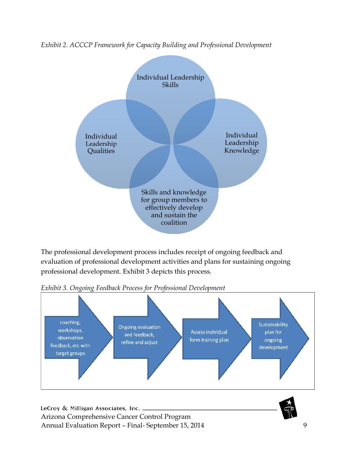

<span id="page-8-0"></span>*Exhibit 2. ACCCP Framework for Capacity Building and Professional Development*

The professional development process includes receipt of ongoing feedback and evaluation of professional development activities and plans for sustaining ongoing professional development. [Exhibit 3](#page-8-1) depicts this process.

coaching, Sustainability Ongoing evaluation workshops, **Assess individual** plan for and feedback, observation form training plan ongoing refine and adjust feedback, etc with development target groups

<span id="page-8-1"></span>*Exhibit 3. Ongoing Feedback Process for Professional Development*

LeCroy & Milligan Associates, Inc. \_ Arizona Comprehensive Cancer Control Program Annual Evaluation Report – Final- September 15, 2014 9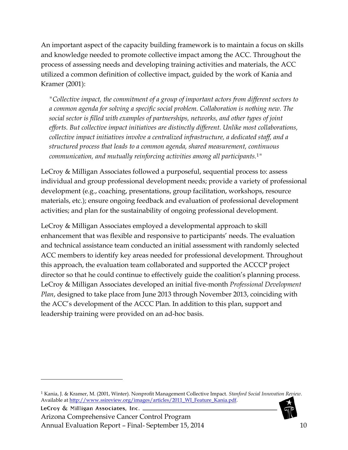An important aspect of the capacity building framework is to maintain a focus on skills and knowledge needed to promote collective impact among the ACC. Throughout the process of assessing needs and developing training activities and materials, the ACC utilized a common definition of collective impact, guided by the work of Kania and Kramer (2001):

*"Collective impact, the commitment of a group of important actors from different sectors to a common agenda for solving a specific social problem. Collaboration is nothing new. The social sector is filled with examples of partnerships, networks, and other types of joint efforts. But collective impact initiatives are distinctly different. Unlike most collaborations, collective impact initiatives involve a centralized infrastructure, a dedicated staff, and a structured process that leads to a common agenda, shared measurement, continuous communication, and mutually reinforcing activities among all participants.*[1](#page-9-0)*"* 

LeCroy & Milligan Associates followed a purposeful, sequential process to: assess individual and group professional development needs; provide a variety of professional development (e.g., coaching, presentations, group facilitation, workshops, resource materials, etc.); ensure ongoing feedback and evaluation of professional development activities; and plan for the sustainability of ongoing professional development.

LeCroy & Milligan Associates employed a developmental approach to skill enhancement that was flexible and responsive to participants' needs. The evaluation and technical assistance team conducted an initial assessment with randomly selected ACC members to identify key areas needed for professional development. Throughout this approach, the evaluation team collaborated and supported the ACCCP project director so that he could continue to effectively guide the coalition's planning process. LeCroy & Milligan Associates developed an initial five-month *Professional Development Plan*, designed to take place from June 2013 through November 2013, coinciding with the ACC's development of the ACCC Plan. In addition to this plan, support and leadership training were provided on an ad-hoc basis.

LeCroy & Milligan Associates, Inc. \_

 $\overline{a}$ 

Arizona Comprehensive Cancer Control Program Annual Evaluation Report – Final- September 15, 2014 10



<span id="page-9-0"></span><sup>1</sup> Kania, J. & Kramer, M. (2001, Winter). Nonprofit Management Collective Impact. *Stanford Social Innovation Review*. Available a[t http://www.ssireview.org/images/articles/2011\\_WI\\_Feature\\_Kania.pdf.](http://www.ssireview.org/images/articles/2011_WI_Feature_Kania.pdf)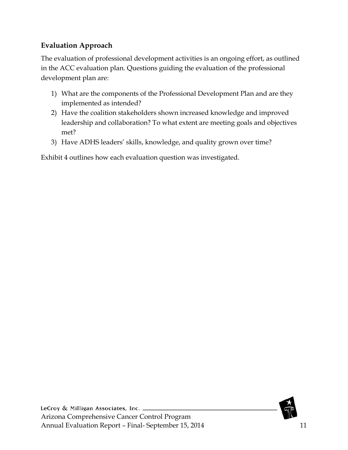## <span id="page-10-0"></span>**Evaluation Approach**

The evaluation of professional development activities is an ongoing effort, as outlined in the ACC evaluation plan. Questions guiding the evaluation of the professional development plan are:

- 1) What are the components of the Professional Development Plan and are they implemented as intended?
- 2) Have the coalition stakeholders shown increased knowledge and improved leadership and collaboration? To what extent are meeting goals and objectives met?
- 3) Have ADHS leaders' skills, knowledge, and quality grown over time?

[Exhibit 4](#page-11-0) outlines how each evaluation question was investigated.

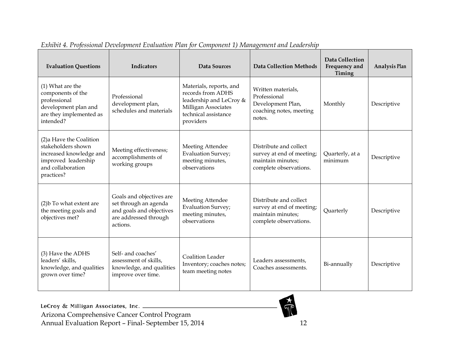<span id="page-11-0"></span>

| <b>Evaluation Questions</b>                                                                                                        | <b>Indicators</b>                                                                                                  | Data Sources                                                                                                                        | <b>Data Collection Methods</b>                                                                     | Data Collection<br>Frequency and<br>Timing | Analysis Plan |
|------------------------------------------------------------------------------------------------------------------------------------|--------------------------------------------------------------------------------------------------------------------|-------------------------------------------------------------------------------------------------------------------------------------|----------------------------------------------------------------------------------------------------|--------------------------------------------|---------------|
| (1) What are the<br>components of the<br>professional<br>development plan and<br>are they implemented as<br>intended?              | Professional<br>development plan,<br>schedules and materials                                                       | Materials, reports, and<br>records from ADHS<br>leadership and LeCroy &<br>Milligan Associates<br>technical assistance<br>providers | Written materials,<br>Professional<br>Development Plan,<br>coaching notes, meeting<br>notes.       | Monthly                                    | Descriptive   |
| (2)a Have the Coalition<br>stakeholders shown<br>increased knowledge and<br>improved leadership<br>and collaboration<br>practices? | Meeting effectiveness;<br>accomplishments of<br>working groups                                                     | Meeting Attendee<br><b>Evaluation Survey;</b><br>meeting minutes,<br>observations                                                   | Distribute and collect<br>survey at end of meeting;<br>maintain minutes;<br>complete observations. | Quarterly, at a<br>minimum                 | Descriptive   |
| (2) b To what extent are<br>the meeting goals and<br>objectives met?                                                               | Goals and objectives are<br>set through an agenda<br>and goals and objectives<br>are addressed through<br>actions. | Meeting Attendee<br><b>Evaluation Survey;</b><br>meeting minutes,<br>observations                                                   | Distribute and collect<br>survey at end of meeting;<br>maintain minutes;<br>complete observations. | Quarterly                                  | Descriptive   |
| (3) Have the ADHS<br>leaders' skills,<br>knowledge, and qualities<br>grown over time?                                              | Self- and coaches'<br>assessment of skills,<br>knowledge, and qualities<br>improve over time.                      | Coalition Leader<br>Inventory; coaches notes;<br>team meeting notes                                                                 | Leaders assessments,<br>Coaches assessments.                                                       | Bi-annually                                | Descriptive   |

*Exhibit 4. Professional Development Evaluation Plan for Component 1) Management and Leadership*

LeCroy & Milligan Associates, Inc. Arizona Comprehensive Cancer Control Program Annual Evaluation Report – Final- September 15, 2014 12

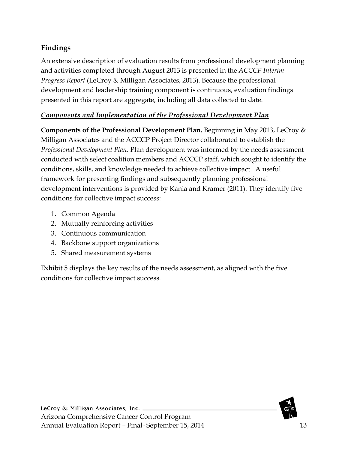## <span id="page-12-0"></span>**Findings**

An extensive description of evaluation results from professional development planning and activities completed through August 2013 is presented in the *ACCCP Interim Progress Report* (LeCroy & Milligan Associates, 2013). Because the professional development and leadership training component is continuous, evaluation findings presented in this report are aggregate, including all data collected to date.

#### <span id="page-12-1"></span>*Components and Implementation of the Professional Development Plan*

**Components of the Professional Development Plan.** Beginning in May 2013, LeCroy & Milligan Associates and the ACCCP Project Director collaborated to establish the *Professional Development Plan*. Plan development was informed by the needs assessment conducted with select coalition members and ACCCP staff, which sought to identify the conditions, skills, and knowledge needed to achieve collective impact. A useful framework for presenting findings and subsequently planning professional development interventions is provided by Kania and Kramer (2011). They identify five conditions for collective impact success:

- 1. Common Agenda
- 2. Mutually reinforcing activities
- 3. Continuous communication
- 4. Backbone support organizations
- 5. Shared measurement systems

[Exhibit 5](#page-13-0) displays the key results of the needs assessment, as aligned with the five conditions for collective impact success.

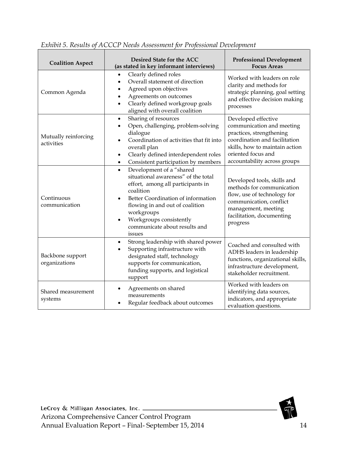| <b>Coalition Aspect</b>            | Desired State for the ACC<br>(as stated in key informant interviews)                                                                                                                                                                                                                                                  | <b>Professional Development</b><br><b>Focus Areas</b>                                                                                                                                                 |
|------------------------------------|-----------------------------------------------------------------------------------------------------------------------------------------------------------------------------------------------------------------------------------------------------------------------------------------------------------------------|-------------------------------------------------------------------------------------------------------------------------------------------------------------------------------------------------------|
| Common Agenda                      | Clearly defined roles<br>Overall statement of direction<br>Agreed upon objectives<br>Agreements on outcomes<br>Clearly defined workgroup goals<br>aligned with overall coalition                                                                                                                                      | Worked with leaders on role<br>clarity and methods for<br>strategic planning, goal setting<br>and effective decision making<br>processes                                                              |
| Mutually reinforcing<br>activities | Sharing of resources<br>$\bullet$<br>Open, challenging, problem-solving<br>$\bullet$<br>dialogue<br>Coordination of activities that fit into<br>overall plan<br>Clearly defined interdependent roles<br>$\bullet$<br>Consistent participation by members<br>$\bullet$                                                 | Developed effective<br>communication and meeting<br>practices, strengthening<br>coordination and facilitation<br>skills, how to maintain action<br>oriented focus and<br>accountability across groups |
| Continuous<br>communication        | Development of a "shared<br>$\bullet$<br>situational awareness" of the total<br>effort, among all participants in<br>coalition<br>Better Coordination of information<br>$\bullet$<br>flowing in and out of coalition<br>workgroups<br>Workgroups consistently<br>$\bullet$<br>communicate about results and<br>issues | Developed tools, skills and<br>methods for communication<br>flow, use of technology for<br>communication, conflict<br>management, meeting<br>facilitation, documenting<br>progress                    |
| Backbone support<br>organizations  | Strong leadership with shared power<br>$\bullet$<br>Supporting infrastructure with<br>designated staff, technology<br>supports for communication,<br>funding supports, and logistical<br>support                                                                                                                      | Coached and consulted with<br>ADHS leaders in leadership<br>functions, organizational skills,<br>infrastructure development,<br>stakeholder recruitment.                                              |
| Shared measurement<br>systems      | Agreements on shared<br>measurements<br>Regular feedback about outcomes                                                                                                                                                                                                                                               | Worked with leaders on<br>identifying data sources,<br>indicators, and appropriate<br>evaluation questions.                                                                                           |

<span id="page-13-0"></span>*Exhibit 5. Results of ACCCP Needs Assessment for Professional Development*

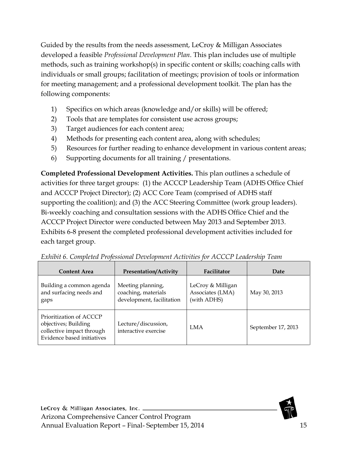Guided by the results from the needs assessment, LeCroy & Milligan Associates developed a feasible *Professional Development Plan*. This plan includes use of multiple methods, such as training workshop(s) in specific content or skills; coaching calls with individuals or small groups; facilitation of meetings; provision of tools or information for meeting management; and a professional development toolkit. The plan has the following components:

- 1) Specifics on which areas (knowledge and/or skills) will be offered;
- 2) Tools that are templates for consistent use across groups;
- 3) Target audiences for each content area;
- 4) Methods for presenting each content area, along with schedules;
- 5) Resources for further reading to enhance development in various content areas;
- 6) Supporting documents for all training / presentations.

**Completed Professional Development Activities.** This plan outlines a schedule of activities for three target groups: (1) the ACCCP Leadership Team (ADHS Office Chief and ACCCP Project Director); (2) ACC Core Team (comprised of ADHS staff supporting the coalition); and (3) the ACC Steering Committee (work group leaders). Bi-weekly coaching and consultation sessions with the ADHS Office Chief and the ACCCP Project Director were conducted between May 2013 and September 2013. Exhibits 6-8 present the completed professional development activities included for each target group.

| <b>Content Area</b>                                                                                        | <b>Presentation/Activity</b>                                          | Facilitator                                          | Date               |
|------------------------------------------------------------------------------------------------------------|-----------------------------------------------------------------------|------------------------------------------------------|--------------------|
| Building a common agenda<br>and surfacing needs and<br>gaps                                                | Meeting planning,<br>coaching, materials<br>development, facilitation | LeCroy & Milligan<br>Associates (LMA)<br>(with ADHS) | May 30, 2013       |
| Prioritization of ACCCP<br>objectives; Building<br>collective impact through<br>Evidence based initiatives | Lecture/discussion,<br>interactive exercise                           | <b>LMA</b>                                           | September 17, 2013 |

| Exhibit 6. Completed Professional Development Activities for ACCCP Leadership Team |  |  |
|------------------------------------------------------------------------------------|--|--|
|                                                                                    |  |  |

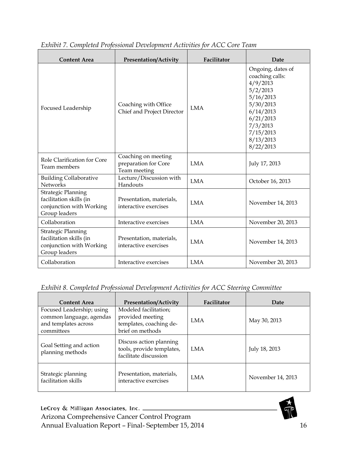| <b>Content Area</b>                                                                               | <b>Presentation/Activity</b>                                | Facilitator | Date                                                                                                                                                                |
|---------------------------------------------------------------------------------------------------|-------------------------------------------------------------|-------------|---------------------------------------------------------------------------------------------------------------------------------------------------------------------|
| Focused Leadership                                                                                | Coaching with Office<br>Chief and Project Director          | <b>LMA</b>  | Ongoing, dates of<br>coaching calls:<br>4/9/2013<br>5/2/2013<br>5/16/2013<br>5/30/2013<br>6/14/2013<br>6/21/2013<br>7/3/2013<br>7/15/2013<br>8/13/2013<br>8/22/2013 |
| Role Clarification for Core<br>Team members                                                       | Coaching on meeting<br>preparation for Core<br>Team meeting | <b>LMA</b>  | July 17, 2013                                                                                                                                                       |
| <b>Building Collaborative</b><br><b>Networks</b>                                                  | Lecture/Discussion with<br>Handouts                         | <b>LMA</b>  | October 16, 2013                                                                                                                                                    |
| Strategic Planning<br>facilitation skills (in<br>conjunction with Working<br>Group leaders        | Presentation, materials,<br>interactive exercises           | <b>LMA</b>  | November 14, 2013                                                                                                                                                   |
| Collaboration                                                                                     | Interactive exercises                                       | <b>LMA</b>  | November 20, 2013                                                                                                                                                   |
| <b>Strategic Planning</b><br>facilitation skills (in<br>conjunction with Working<br>Group leaders | Presentation, materials,<br>interactive exercises           | <b>LMA</b>  | November 14, 2013                                                                                                                                                   |
| Collaboration                                                                                     | Interactive exercises                                       | <b>LMA</b>  | November 20, 2013                                                                                                                                                   |

*Exhibit 7. Completed Professional Development Activities for ACC Core Team*

|  |  |  | Exhibit 8. Completed Professional Development Activities for ACC Steering Committee |  |
|--|--|--|-------------------------------------------------------------------------------------|--|
|  |  |  |                                                                                     |  |

| Content Area                                                                                | <b>Presentation/Activity</b>                                                             | Facilitator | Date              |
|---------------------------------------------------------------------------------------------|------------------------------------------------------------------------------------------|-------------|-------------------|
| Focused Leadership; using<br>common language, agendas<br>and templates across<br>committees | Modeled facilitation;<br>provided meeting<br>templates, coaching de-<br>brief on methods | <b>LMA</b>  | May 30, 2013      |
| Goal Setting and action<br>planning methods                                                 | Discuss action planning<br>tools, provide templates,<br>facilitate discussion            | <b>LMA</b>  | July 18, 2013     |
| Strategic planning<br>facilitation skills                                                   | Presentation, materials,<br>interactive exercises                                        | <b>LMA</b>  | November 14, 2013 |

LeCroy & Milligan Associates, Inc. Arizona Comprehensive Cancer Control Program Annual Evaluation Report – Final- September 15, 2014

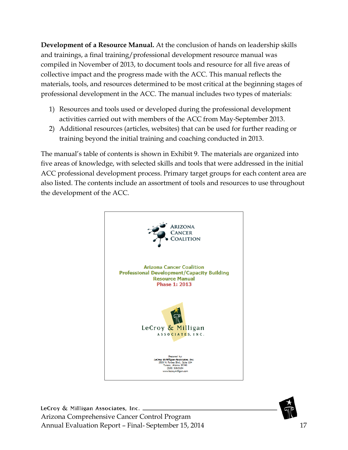**Development of a Resource Manual.** At the conclusion of hands on leadership skills and trainings, a final training/professional development resource manual was compiled in November of 2013, to document tools and resource for all five areas of collective impact and the progress made with the ACC. This manual reflects the materials, tools, and resources determined to be most critical at the beginning stages of professional development in the ACC. The manual includes two types of materials:

- 1) Resources and tools used or developed during the professional development activities carried out with members of the ACC from May-September 2013.
- 2) Additional resources (articles, websites) that can be used for further reading or training beyond the initial training and coaching conducted in 2013.

The manual's table of contents is shown in Exhibit 9. The materials are organized into five areas of knowledge, with selected skills and tools that were addressed in the initial ACC professional development process. Primary target groups for each content area are also listed. The contents include an assortment of tools and resources to use throughout the development of the ACC.



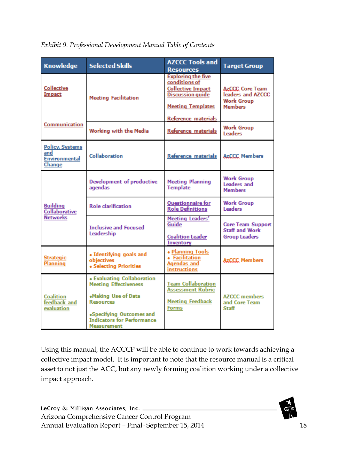| <b>Knowledge</b>                                                | <b>Selected Skills</b>                                                                                                                                                                              | <b>AZCCC Tools and</b><br><b>Resources</b>                                                                                                           | <b>Target Group</b>                                                                |
|-----------------------------------------------------------------|-----------------------------------------------------------------------------------------------------------------------------------------------------------------------------------------------------|------------------------------------------------------------------------------------------------------------------------------------------------------|------------------------------------------------------------------------------------|
| <b>Collective</b><br>Impact                                     | <b>Meeting Facilitation</b>                                                                                                                                                                         | <b>Exploring the five</b><br>conditions of<br><b>Collective Impact</b><br><b>Discussion quide</b><br><b>Meeting Templates</b><br>Reference materials | <b>AzCCC Core Team</b><br>leaders and AZCCC<br><b>Work Group</b><br><b>Members</b> |
| Communication                                                   | Working with the Media                                                                                                                                                                              | Reference materials                                                                                                                                  | <b>Work Group</b><br><b>Leaders</b>                                                |
| <b>Policy, Systems</b><br>and<br><b>Environmental</b><br>Change | Collaboration                                                                                                                                                                                       | Reference materials                                                                                                                                  | <b>AzCCC</b> Members                                                               |
|                                                                 | <b>Development of productive</b><br>agendas                                                                                                                                                         | <b>Meeting Planning</b><br>Template                                                                                                                  | <b>Work Group</b><br>Leaders and<br><b>Members</b>                                 |
| <b>Building</b><br><b>Collaborative</b>                         | <b>Role clarification</b>                                                                                                                                                                           | Questionnaire for<br><b>Role Definitions</b>                                                                                                         | <b>Work Group</b><br><b>Leaders</b>                                                |
| <b>Networks</b>                                                 | <b>Inclusive and Focused</b><br>Leadership                                                                                                                                                          | Meeting Leaders'<br>Guide<br><b>Coalition Leader</b><br>Inventory                                                                                    | <b>Core Team Support</b><br><b>Staff and Work</b><br><b>Group Leaders</b>          |
| Strategic<br><b>Planning</b>                                    | . Identifying goals and<br>objectives<br>· Selecting Priorities                                                                                                                                     | . Planning Tools<br>· Facilitation<br>Agendas and<br><b>instructions</b>                                                                             | <b>AzCCC Members</b>                                                               |
| Coalition<br>feedback and<br>evaluation                         | <b>.</b> Evaluating Collaboration<br><b>Meeting Effectiveness</b><br>.Making Use of Data<br><b>Resources</b><br>.Specifying Outcomes and<br><b>Indicators for Performance</b><br><b>Measurement</b> | <b>Team Collaboration</b><br><b>Assessment Rubric</b><br><b>Meeting Feedback</b><br>Forms                                                            | <b>AZCCC</b> members<br>and Core Team<br>Staff                                     |

*Exhibit 9. Professional Development Manual Table of Contents*

Using this manual, the ACCCP will be able to continue to work towards achieving a collective impact model. It is important to note that the resource manual is a critical asset to not just the ACC, but any newly forming coalition working under a collective impact approach.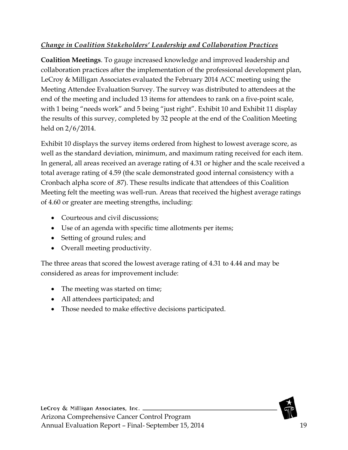## <span id="page-18-0"></span>*Change in Coalition Stakeholders' Leadership and Collaboration Practices*

**Coalition Meetings**. To gauge increased knowledge and improved leadership and collaboration practices after the implementation of the professional development plan, LeCroy & Milligan Associates evaluated the February 2014 ACC meeting using the Meeting Attendee Evaluation Survey. The survey was distributed to attendees at the end of the meeting and included 13 items for attendees to rank on a five-point scale, with 1 being "needs work" and 5 being "just right". [Exhibit 10](#page-19-0) and [Exhibit 11](#page-20-0) display the results of this survey, completed by 32 people at the end of the Coalition Meeting held on 2/6/2014.

[Exhibit 10](#page-19-0) displays the survey items ordered from highest to lowest average score, as well as the standard deviation, minimum, and maximum rating received for each item. In general, all areas received an average rating of 4.31 or higher and the scale received a total average rating of 4.59 (the scale demonstrated good internal consistency with a Cronbach alpha score of .87). These results indicate that attendees of this Coalition Meeting felt the meeting was well-run. Areas that received the highest average ratings of 4.60 or greater are meeting strengths, including:

- Courteous and civil discussions;
- Use of an agenda with specific time allotments per items;
- Setting of ground rules; and
- Overall meeting productivity.

The three areas that scored the lowest average rating of 4.31 to 4.44 and may be considered as areas for improvement include:

- The meeting was started on time;
- All attendees participated; and
- Those needed to make effective decisions participated.

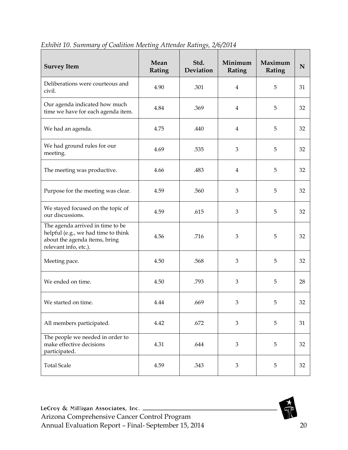| <b>Survey Item</b>                                                                                                                | Mean<br>Rating | Std.<br>Deviation | Minimum<br>Rating | Maximum<br>Rating | N  |
|-----------------------------------------------------------------------------------------------------------------------------------|----------------|-------------------|-------------------|-------------------|----|
| Deliberations were courteous and<br>civil.                                                                                        | 4.90           | .301              | $\overline{4}$    | 5                 | 31 |
| Our agenda indicated how much<br>time we have for each agenda item.                                                               | 4.84           | .369              | $\overline{4}$    | 5                 | 32 |
| We had an agenda.                                                                                                                 | 4.75           | .440              | $\overline{4}$    | 5                 | 32 |
| We had ground rules for our<br>meeting.                                                                                           | 4.69           | .535              | 3                 | 5                 | 32 |
| The meeting was productive.                                                                                                       | 4.66           | .483              | $\overline{4}$    | 5                 | 32 |
| Purpose for the meeting was clear.                                                                                                | 4.59           | .560              | $\mathfrak{Z}$    | 5                 | 32 |
| We stayed focused on the topic of<br>our discussions.                                                                             | 4.59           | .615              | 3                 | 5                 | 32 |
| The agenda arrived in time to be<br>helpful (e.g., we had time to think<br>about the agenda items, bring<br>relevant info, etc.). | 4.56           | .716              | 3                 | 5                 | 32 |
| Meeting pace.                                                                                                                     | 4.50           | .568              | 3                 | 5                 | 32 |
| We ended on time.                                                                                                                 | 4.50           | .793              | 3                 | 5                 | 28 |
| We started on time.                                                                                                               | 4.44           | .669              | 3                 | 5                 | 32 |
| All members participated.                                                                                                         | 4.42           | .672              | $\mathfrak{Z}$    | 5                 | 31 |
| The people we needed in order to<br>make effective decisions<br>participated.                                                     | 4.31           | .644              | $\mathfrak{Z}$    | 5                 | 32 |
| <b>Total Scale</b>                                                                                                                | 4.59           | .343              | $\mathfrak{Z}$    | 5                 | 32 |

#### <span id="page-19-0"></span>*Exhibit 10. Summary of Coalition Meeting Attendee Ratings, 2/6/2014*

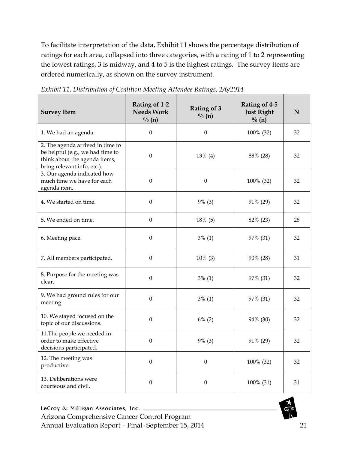To facilitate interpretation of the data, [Exhibit 11](#page-20-0) shows the percentage distribution of ratings for each area, collapsed into three categories, with a rating of 1 to 2 representing the lowest ratings, 3 is midway, and 4 to 5 is the highest ratings. The survey items are ordered numerically, as shown on the survey instrument.

| <b>Survey Item</b>                                                                                                                   | Rating of 1-2<br><b>Needs Work</b><br>$\frac{0}{0}$ (n) | Rating of 3<br>$\% (n)$ | Rating of 4-5<br><b>Just Right</b><br>$\frac{0}{0}$ (n) | N  |
|--------------------------------------------------------------------------------------------------------------------------------------|---------------------------------------------------------|-------------------------|---------------------------------------------------------|----|
| 1. We had an agenda.                                                                                                                 | $\theta$                                                | $\theta$                | 100% (32)                                               | 32 |
| 2. The agenda arrived in time to<br>be helpful (e.g., we had time to<br>think about the agenda items,<br>bring relevant info, etc.). | $\theta$                                                | $13\%$ (4)              | 88% (28)                                                | 32 |
| 3. Our agenda indicated how<br>much time we have for each<br>agenda item.                                                            | $\theta$                                                | $\theta$                | 100% (32)                                               | 32 |
| 4. We started on time.                                                                                                               | $\theta$                                                | $9\%$ (3)               | 91% (29)                                                | 32 |
| 5. We ended on time.                                                                                                                 | $\theta$                                                | 18% (5)                 | 82% (23)                                                | 28 |
| 6. Meeting pace.                                                                                                                     | $\boldsymbol{0}$                                        | $3\%$ (1)               | 97% (31)                                                | 32 |
| 7. All members participated.                                                                                                         | $\boldsymbol{0}$                                        | $10\%$ (3)              | 90% (28)                                                | 31 |
| 8. Purpose for the meeting was<br>clear.                                                                                             | $\boldsymbol{0}$                                        | $3\%$ (1)               | 97% (31)                                                | 32 |
| 9. We had ground rules for our<br>meeting.                                                                                           | $\theta$                                                | $3\%$ (1)               | 97% (31)                                                | 32 |
| 10. We stayed focused on the<br>topic of our discussions.                                                                            | $\boldsymbol{0}$                                        | $6\%$ (2)               | 94% (30)                                                | 32 |
| 11. The people we needed in<br>order to make effective<br>decisions participated.                                                    | $\boldsymbol{0}$                                        | $9\%$ (3)               | 91% (29)                                                | 32 |
| 12. The meeting was<br>productive.                                                                                                   | $\boldsymbol{0}$                                        | $\boldsymbol{0}$        | 100% (32)                                               | 32 |
| 13. Deliberations were<br>courteous and civil.                                                                                       | $\boldsymbol{0}$                                        | $\boldsymbol{0}$        | 100% (31)                                               | 31 |

<span id="page-20-0"></span>*Exhibit 11. Distribution of Coalition Meeting Attendee Ratings, 2/6/2014*

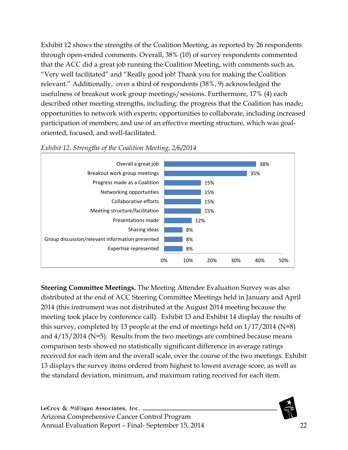[Exhibit 12](#page-21-0) shows the strengths of the Coalition Meeting, as reported by 26 respondents through open-ended comments. Overall, 38% (10) of survey respondents commented that the ACC did a great job running the Coalition Meeting, with comments such as, "Very well facilitated" and "Really good job! Thank you for making the Coalition relevant." Additionally, over a third of respondents (38%, 9) acknowledged the usefulness of breakout work group meetings/sessions. Furthermore, 17% (4) each described other meeting strengths, including: the progress that the Coalition has made; opportunities to network with experts; opportunities to collaborate, including increased participation of members; and use of an effective meeting structure, which was goaloriented, focused, and well-facilitated.



<span id="page-21-0"></span>

**Steering Committee Meetings.** The Meeting Attendee Evaluation Survey was also distributed at the end of ACC Steering Committee Meetings held in January and April 2014 (this instrument was not distributed at the August 2014 meeting because the meeting took place by conference call). [Exhibit 13](#page-22-0) and [Exhibit 14](#page-23-0) display the results of this survey, completed by 13 people at the end of meetings held on  $1/17/2014$  (N=8) and 4/15/2014 (N=5). Results from the two meetings are combined because means comparison tests showed no statistically significant difference in average ratings received for each item and the overall scale, over the course of the two meetings. [Exhibit](#page-22-0)  [13](#page-22-0) displays the survey items ordered from highest to lowest average score, as well as the standard deviation, minimum, and maximum rating received for each item.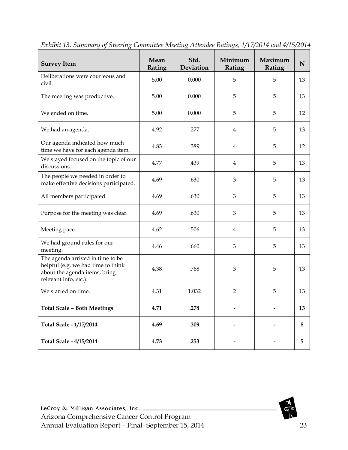| <b>Survey Item</b>                                                                                                               | Mean<br>Rating | Std.<br>Deviation | Minimum<br>Rating | Maximum<br>Rating | N  |
|----------------------------------------------------------------------------------------------------------------------------------|----------------|-------------------|-------------------|-------------------|----|
| Deliberations were courteous and<br>civil.                                                                                       | 5.00           | 0.000             | 5                 | 5                 | 13 |
| The meeting was productive.                                                                                                      | 5.00           | 0.000             | 5                 | 5                 | 13 |
| We ended on time.                                                                                                                | 5.00           | 0.000             | 5                 | 5                 | 12 |
| We had an agenda.                                                                                                                | 4.92           | .277              | $\overline{4}$    | 5                 | 13 |
| Our agenda indicated how much<br>time we have for each agenda item.                                                              | 4.83           | .389              | $\overline{4}$    | 5                 | 12 |
| We stayed focused on the topic of our<br>discussions.                                                                            | 4.77           | .439              | $\overline{4}$    | 5                 | 13 |
| The people we needed in order to<br>make effective decisions participated.                                                       | 4.69           | .630              | 3                 | 5                 | 13 |
| All members participated.                                                                                                        | 4.69           | .630              | 3                 | 5                 | 13 |
| Purpose for the meeting was clear.                                                                                               | 4.69           | .630              | 3                 | 5                 | 13 |
| Meeting pace.                                                                                                                    | 4.62           | .506              | $\overline{4}$    | 5                 | 13 |
| We had ground rules for our<br>meeting.                                                                                          | 4.46           | .660              | 3                 | 5                 | 13 |
| The agenda arrived in time to be<br>helpful (e.g. we had time to think<br>about the agenda items, bring<br>relevant info, etc.). | 4.38           | .768              | 3                 | 5                 | 13 |
| We started on time.                                                                                                              | 4.31           | 1.032             | $\overline{2}$    | 5                 | 13 |
| <b>Total Scale - Both Meetings</b>                                                                                               | 4.71           | .278              |                   |                   | 13 |
| Total Scale - 1/17/2014                                                                                                          | 4.69           | .309              |                   |                   | 8  |
| Total Scale - 4/15/2014                                                                                                          | 4.73           | .253              |                   |                   | 5  |

<span id="page-22-0"></span>*Exhibit 13. Summary of Steering Committee Meeting Attendee Ratings, 1/17/2014 and 4/15/2014*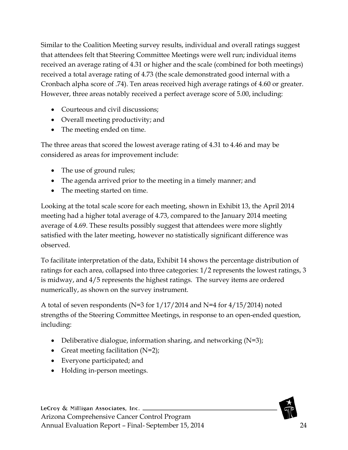Similar to the Coalition Meeting survey results, individual and overall ratings suggest that attendees felt that Steering Committee Meetings were well run; individual items received an average rating of 4.31 or higher and the scale (combined for both meetings) received a total average rating of 4.73 (the scale demonstrated good internal with a Cronbach alpha score of .74). Ten areas received high average ratings of 4.60 or greater. However, three areas notably received a perfect average score of 5.00, including:

- Courteous and civil discussions:
- Overall meeting productivity; and
- The meeting ended on time.

The three areas that scored the lowest average rating of 4.31 to 4.46 and may be considered as areas for improvement include:

- The use of ground rules;
- The agenda arrived prior to the meeting in a timely manner; and
- The meeting started on time.

Looking at the total scale score for each meeting, shown in Exhibit 13, the April 2014 meeting had a higher total average of 4.73, compared to the January 2014 meeting average of 4.69. These results possibly suggest that attendees were more slightly satisfied with the later meeting, however no statistically significant difference was observed.

To facilitate interpretation of the data, [Exhibit 14](#page-23-0) shows the percentage distribution of ratings for each area, collapsed into three categories: 1/2 represents the lowest ratings, 3 is midway, and 4/5 represents the highest ratings. The survey items are ordered numerically, as shown on the survey instrument.

A total of seven respondents (N=3 for 1/17/2014 and N=4 for 4/15/2014) noted strengths of the Steering Committee Meetings, in response to an open-ended question, including:

- Deliberative dialogue, information sharing, and networking  $(N=3)$ ;
- Great meeting facilitation  $(N=2)$ ;
- Everyone participated; and
- <span id="page-23-0"></span>• Holding in-person meetings.

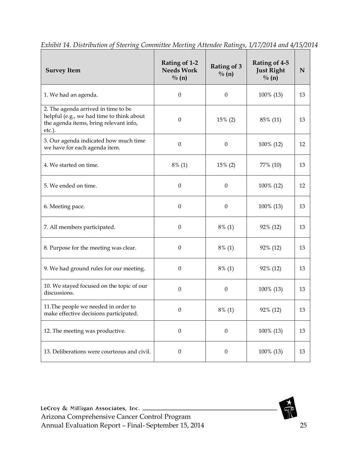| <b>Survey Item</b>                                                                                                                   | Rating of 1-2<br><b>Needs Work</b><br>$\frac{0}{0}$ (n) | Rating of 3<br>$\frac{0}{0}$ (n) | Rating of 4-5<br><b>Just Right</b><br>$\frac{0}{0}$ (n) | N  |
|--------------------------------------------------------------------------------------------------------------------------------------|---------------------------------------------------------|----------------------------------|---------------------------------------------------------|----|
| 1. We had an agenda.                                                                                                                 | $\boldsymbol{0}$                                        | $\boldsymbol{0}$                 | 100% (13)                                               | 13 |
| 2. The agenda arrived in time to be<br>helpful (e.g., we had time to think about<br>the agenda items, bring relevant info,<br>etc.). | $\boldsymbol{0}$                                        | $15\%$ (2)                       | 85% (11)                                                | 13 |
| 3. Our agenda indicated how much time<br>we have for each agenda item.                                                               | $\boldsymbol{0}$                                        | $\boldsymbol{0}$                 | 100% (12)                                               | 12 |
| 4. We started on time.                                                                                                               | $8\%$ (1)                                               | $15\%$ (2)                       | 77% (10)                                                | 13 |
| 5. We ended on time.                                                                                                                 | $\mathbf{0}$                                            | $\boldsymbol{0}$                 | 100% (12)                                               | 12 |
| 6. Meeting pace.                                                                                                                     | $\mathbf{0}$                                            | $\boldsymbol{0}$                 | 100% (13)                                               | 13 |
| 7. All members participated.                                                                                                         | $\mathbf{0}$                                            | $8\%$ (1)                        | 92% (12)                                                | 13 |
| 8. Purpose for the meeting was clear.                                                                                                | $\mathbf{0}$                                            | $8\%$ (1)                        | 92% (12)                                                | 13 |
| 9. We had ground rules for our meeting.                                                                                              | $\mathbf{0}$                                            | $8\%$ (1)                        | 92% (12)                                                | 13 |
| 10. We stayed focused on the topic of our<br>discussions.                                                                            | $\mathbf{0}$                                            | $\theta$                         | 100% (13)                                               | 13 |
| 11. The people we needed in order to<br>make effective decisions participated.                                                       | $\boldsymbol{0}$                                        | $8\%$ (1)                        | 92% (12)                                                | 13 |
| 12. The meeting was productive.                                                                                                      | $\boldsymbol{0}$                                        | $\boldsymbol{0}$                 | 100% (13)                                               | 13 |
| 13. Deliberations were courteous and civil.                                                                                          | $\boldsymbol{0}$                                        | $\boldsymbol{0}$                 | 100% (13)                                               | 13 |

*Exhibit 14. Distribution of Steering Committee Meeting Attendee Ratings, 1/17/2014 and 4/15/2014*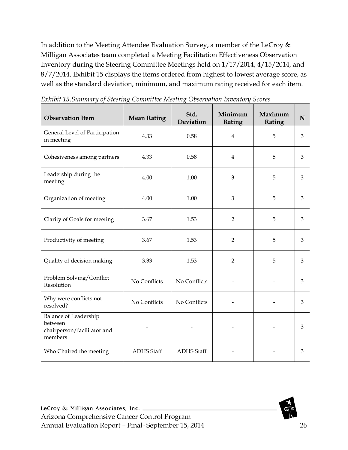In addition to the Meeting Attendee Evaluation Survey, a member of the LeCroy & Milligan Associates team completed a Meeting Facilitation Effectiveness Observation Inventory during the Steering Committee Meetings held on 1/17/2014, 4/15/2014, and 8/7/2014. [Exhibit 15](#page-25-0) displays the items ordered from highest to lowest average score, as well as the standard deviation, minimum, and maximum rating received for each item.

| <b>Observation Item</b>                                                           | <b>Mean Rating</b> | Std.<br>Deviation | Minimum<br><b>Rating</b> | Maximum<br>Rating | N |
|-----------------------------------------------------------------------------------|--------------------|-------------------|--------------------------|-------------------|---|
| General Level of Participation<br>in meeting                                      | 4.33               | 0.58              | $\overline{4}$           | 5                 | 3 |
| Cohesiveness among partners                                                       | 4.33               | 0.58              | $\overline{4}$           | 5                 | 3 |
| Leadership during the<br>meeting                                                  | 4.00               | 1.00              | 3                        | 5                 | 3 |
| Organization of meeting                                                           | 4.00               | 1.00              | 3                        | 5                 | 3 |
| Clarity of Goals for meeting                                                      | 3.67               | 1.53              | $\overline{2}$           | 5                 | 3 |
| Productivity of meeting                                                           | 3.67               | 1.53              | $\overline{2}$           | 5                 | 3 |
| Quality of decision making                                                        | 3.33               | 1.53              | 2                        | 5                 | 3 |
| Problem Solving/Conflict<br>Resolution                                            | No Conflicts       | No Conflicts      |                          |                   | 3 |
| Why were conflicts not<br>resolved?                                               | No Conflicts       | No Conflicts      |                          |                   | 3 |
| <b>Balance of Leadership</b><br>between<br>chairperson/facilitator and<br>members |                    |                   |                          |                   | 3 |
| Who Chaired the meeting                                                           | <b>ADHS</b> Staff  | <b>ADHS</b> Staff |                          |                   | 3 |

<span id="page-25-0"></span>*Exhibit 15.Summary of Steering Committee Meeting Observation Inventory Scores*

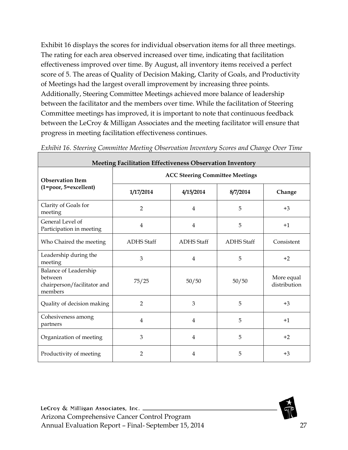Exhibit 16 displays the scores for individual observation items for all three meetings. The rating for each area observed increased over time, indicating that facilitation effectiveness improved over time. By August, all inventory items received a perfect score of 5. The areas of Quality of Decision Making, Clarity of Goals, and Productivity of Meetings had the largest overall improvement by increasing three points. Additionally, Steering Committee Meetings achieved more balance of leadership between the facilitator and the members over time. While the facilitation of Steering Committee meetings has improved, it is important to note that continuous feedback between the LeCroy & Milligan Associates and the meeting facilitator will ensure that progress in meeting facilitation effectiveness continues.

|                                                                            | <b>Meeting Facilitation Effectiveness Observation Inventory</b> |                   |                   |                            |  |  |  |
|----------------------------------------------------------------------------|-----------------------------------------------------------------|-------------------|-------------------|----------------------------|--|--|--|
| <b>Observation Item</b>                                                    | <b>ACC Steering Committee Meetings</b>                          |                   |                   |                            |  |  |  |
| (1=poor, 5=excellent)                                                      | 1/17/2014                                                       | 4/15/2014         | 8/7/2014          | Change                     |  |  |  |
| Clarity of Goals for<br>meeting                                            | $\overline{2}$                                                  | $\overline{4}$    | 5                 | $+3$                       |  |  |  |
| General Level of<br>Participation in meeting                               | $\overline{4}$                                                  | $\overline{4}$    | 5                 | $+1$                       |  |  |  |
| Who Chaired the meeting                                                    | <b>ADHS</b> Staff                                               | <b>ADHS</b> Staff | <b>ADHS</b> Staff | Consistent                 |  |  |  |
| Leadership during the<br>meeting                                           | 3                                                               | $\overline{4}$    | 5                 | $+2$                       |  |  |  |
| Balance of Leadership<br>between<br>chairperson/facilitator and<br>members | 75/25                                                           | 50/50             | 50/50             | More equal<br>distribution |  |  |  |
| Quality of decision making                                                 | $\overline{2}$                                                  | 3                 | 5                 | $+3$                       |  |  |  |
| Cohesiveness among<br>partners                                             | $\overline{4}$                                                  | $\overline{4}$    | 5                 | $+1$                       |  |  |  |
| Organization of meeting                                                    | 3                                                               | $\overline{4}$    | 5                 | $+2$                       |  |  |  |
| Productivity of meeting                                                    | $\overline{2}$                                                  | $\overline{4}$    | 5                 | $+3$                       |  |  |  |

*Exhibit 16. Steering Committee Meeting Observation Inventory Scores and Change Over Time*

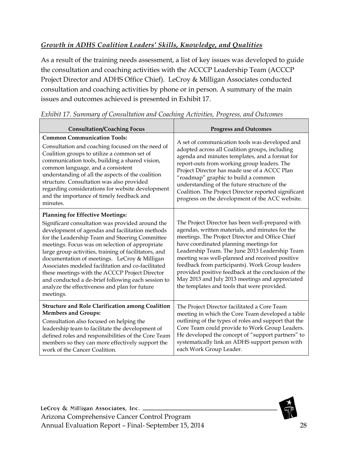#### <span id="page-27-0"></span>*Growth in ADHS Coalition Leaders' Skills, Knowledge, and Qualities*

As a result of the training needs assessment, a list of key issues was developed to guide the consultation and coaching activities with the ACCCP Leadership Team (ACCCP Project Director and ADHS Office Chief). LeCroy & Milligan Associates conducted consultation and coaching activities by phone or in person. A summary of the main issues and outcomes achieved is presented in [Exhibit 17.](#page-27-1)

| <b>Consultation/Coaching Focus</b>                                                                                                                                                                                                                                                                                                                                                                                                                                                                                                                                                       | <b>Progress and Outcomes</b>                                                                                                                                                                                                                                                                                                                                                                                                                                                                                     |
|------------------------------------------------------------------------------------------------------------------------------------------------------------------------------------------------------------------------------------------------------------------------------------------------------------------------------------------------------------------------------------------------------------------------------------------------------------------------------------------------------------------------------------------------------------------------------------------|------------------------------------------------------------------------------------------------------------------------------------------------------------------------------------------------------------------------------------------------------------------------------------------------------------------------------------------------------------------------------------------------------------------------------------------------------------------------------------------------------------------|
| <b>Common Communication Tools:</b><br>Consultation and coaching focused on the need of<br>Coalition groups to utilize a common set of<br>communication tools, building a shared vision,<br>common language, and a consistent<br>understanding of all the aspects of the coalition<br>structure. Consultation was also provided<br>regarding considerations for website development<br>and the importance of timely feedback and<br>minutes.                                                                                                                                              | A set of communication tools was developed and<br>adopted across all Coalition groups, including<br>agenda and minutes templates, and a format for<br>report-outs from working group leaders. The<br>Project Director has made use of a ACCC Plan<br>"roadmap" graphic to build a common<br>understanding of the future structure of the<br>Coalition. The Project Director reported significant<br>progress on the development of the ACC website.                                                              |
| <b>Planning for Effective Meetings:</b><br>Significant consultation was provided around the<br>development of agendas and facilitation methods<br>for the Leadership Team and Steering Committee<br>meetings. Focus was on selection of appropriate<br>large group activities, training of facilitators, and<br>documentation of meetings. LeCroy & Milligan<br>Associates modeled facilitation and co-facilitated<br>these meetings with the ACCCP Project Director<br>and conducted a de-brief following each session to<br>analyze the effectiveness and plan for future<br>meetings. | The Project Director has been well-prepared with<br>agendas, written materials, and minutes for the<br>meetings. The Project Director and Office Chief<br>have coordinated planning meetings for<br>Leadership Team. The June 2013 Leadership Team<br>meeting was well-planned and received positive<br>feedback from participants). Work Group leaders<br>provided positive feedback at the conclusion of the<br>May 2013 and July 2013 meetings and appreciated<br>the templates and tools that were provided. |
| <b>Structure and Role Clarification among Coalition</b><br><b>Members and Groups:</b><br>Consultation also focused on helping the<br>leadership team to facilitate the development of<br>defined roles and responsibilities of the Core Team<br>members so they can more effectively support the<br>work of the Cancer Coalition.                                                                                                                                                                                                                                                        | The Project Director facilitated a Core Team<br>meeting in which the Core Team developed a table<br>outlining of the types of roles and support that the<br>Core Team could provide to Work Group Leaders.<br>He developed the concept of "support partners" to<br>systematically link an ADHS support person with<br>each Work Group Leader.                                                                                                                                                                    |

#### <span id="page-27-1"></span>*Exhibit 17. Summary of Consultation and Coaching Activities, Progress, and Outcomes*

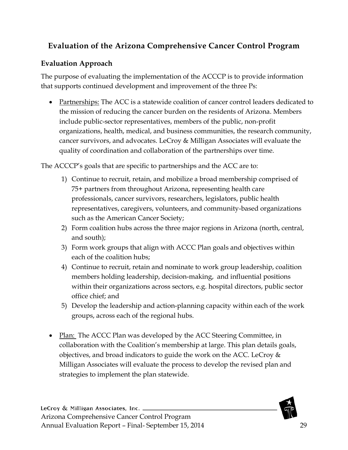# <span id="page-28-0"></span>**Evaluation of the Arizona Comprehensive Cancer Control Program**

## <span id="page-28-1"></span>**Evaluation Approach**

The purpose of evaluating the implementation of the ACCCP is to provide information that supports continued development and improvement of the three Ps:

• Partnerships: The ACC is a statewide coalition of cancer control leaders dedicated to the mission of reducing the cancer burden on the residents of Arizona. Members include public-sector representatives, members of the public, non-profit organizations, health, medical, and business communities, the research community, cancer survivors, and advocates. LeCroy & Milligan Associates will evaluate the quality of coordination and collaboration of the partnerships over time.

The ACCCP's goals that are specific to partnerships and the ACC are to:

- 1) Continue to recruit, retain, and mobilize a broad membership comprised of 75+ partners from throughout Arizona, representing health care professionals, cancer survivors, researchers, legislators, public health representatives, caregivers, volunteers, and community-based organizations such as the American Cancer Society;
- 2) Form coalition hubs across the three major regions in Arizona (north, central, and south);
- 3) Form work groups that align with ACCC Plan goals and objectives within each of the coalition hubs;
- 4) Continue to recruit, retain and nominate to work group leadership, coalition members holding leadership, decision-making, and influential positions within their organizations across sectors, e.g. hospital directors, public sector office chief; and
- 5) Develop the leadership and action-planning capacity within each of the work groups, across each of the regional hubs.
- Plan: The ACCC Plan was developed by the ACC Steering Committee, in collaboration with the Coalition's membership at large. This plan details goals, objectives, and broad indicators to guide the work on the ACC. LeCroy & Milligan Associates will evaluate the process to develop the revised plan and strategies to implement the plan statewide.

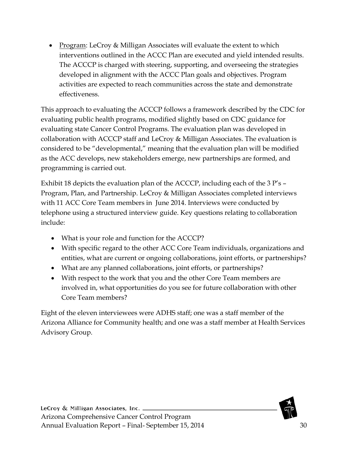• Program: LeCroy & Milligan Associates will evaluate the extent to which interventions outlined in the ACCC Plan are executed and yield intended results. The ACCCP is charged with steering, supporting, and overseeing the strategies developed in alignment with the ACCC Plan goals and objectives. Program activities are expected to reach communities across the state and demonstrate effectiveness.

This approach to evaluating the ACCCP follows a framework described by the CDC for evaluating public health programs, modified slightly based on CDC guidance for evaluating state Cancer Control Programs. The evaluation plan was developed in collaboration with ACCCP staff and LeCroy & Milligan Associates. The evaluation is considered to be "developmental," meaning that the evaluation plan will be modified as the ACC develops, new stakeholders emerge, new partnerships are formed, and programming is carried out.

Exhibit 18 depicts the evaluation plan of the ACCCP, including each of the 3 P's – Program, Plan, and Partnership. LeCroy & Milligan Associates completed interviews with 11 ACC Core Team members in June 2014. Interviews were conducted by telephone using a structured interview guide. Key questions relating to collaboration include:

- What is your role and function for the ACCCP?
- With specific regard to the other ACC Core Team individuals, organizations and entities, what are current or ongoing collaborations, joint efforts, or partnerships?
- What are any planned collaborations, joint efforts, or partnerships?
- With respect to the work that you and the other Core Team members are involved in, what opportunities do you see for future collaboration with other Core Team members?

Eight of the eleven interviewees were ADHS staff; one was a staff member of the Arizona Alliance for Community health; and one was a staff member at Health Services Advisory Group.

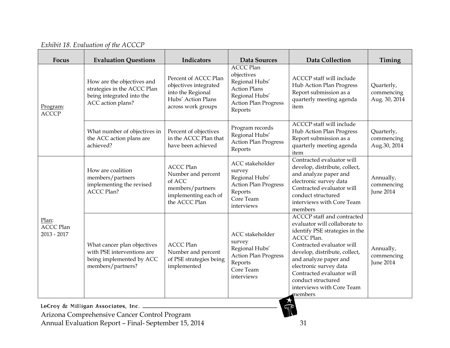*Exhibit 18. Evaluation of the ACCCP*

| Focus                                      | <b>Evaluation Questions</b>                                                                                 | Indicators                                                                                                     | Data Sources                                                                                                                        | <b>Data Collection</b>                                                                                                                                                                                                                                                                                                  | Timing                                      |
|--------------------------------------------|-------------------------------------------------------------------------------------------------------------|----------------------------------------------------------------------------------------------------------------|-------------------------------------------------------------------------------------------------------------------------------------|-------------------------------------------------------------------------------------------------------------------------------------------------------------------------------------------------------------------------------------------------------------------------------------------------------------------------|---------------------------------------------|
| Program:<br><b>ACCCP</b>                   | How are the objectives and<br>strategies in the ACCC Plan<br>being integrated into the<br>ACC action plans? | Percent of ACCC Plan<br>objectives integrated<br>into the Regional<br>Hubs' Action Plans<br>across work groups | <b>ACCC Plan</b><br>objectives<br>Regional Hubs'<br><b>Action Plans</b><br>Regional Hubs'<br><b>Action Plan Progress</b><br>Reports | ACCCP staff will include<br>Hub Action Plan Progress<br>Report submission as a<br>quarterly meeting agenda<br>item                                                                                                                                                                                                      | Quarterly,<br>commencing<br>Aug. 30, 2014   |
|                                            | What number of objectives in<br>the ACC action plans are<br>achieved?                                       | Percent of objectives<br>in the ACCC Plan that<br>have been achieved                                           | Program records<br>Regional Hubs'<br><b>Action Plan Progress</b><br>Reports                                                         | ACCCP staff will include<br>Hub Action Plan Progress<br>Report submission as a<br>quarterly meeting agenda<br>item                                                                                                                                                                                                      | Quarterly,<br>commencing<br>Aug.30, 2014    |
|                                            | How are coalition<br>members/partners<br>implementing the revised<br><b>ACCC Plan?</b>                      | <b>ACCC Plan</b><br>Number and percent<br>of ACC<br>members/partners<br>implementing each of<br>the ACCC Plan  | ACC stakeholder<br>survey<br>Regional Hubs'<br><b>Action Plan Progress</b><br>Reports<br>Core Team<br>interviews                    | Contracted evaluator will<br>develop, distribute, collect,<br>and analyze paper and<br>electronic survey data<br>Contracted evaluator will<br>conduct structured<br>interviews with Core Team<br>members                                                                                                                | Annually,<br>commencing<br><b>June 2014</b> |
| Plan:<br><b>ACCC Plan</b><br>$2013 - 2017$ | What cancer plan objectives<br>with PSE interventions are<br>being implemented by ACC<br>members/partners?  | <b>ACCC Plan</b><br>Number and percent<br>of PSE strategies being<br>implemented                               | ACC stakeholder<br>survey<br>Regional Hubs'<br><b>Action Plan Progress</b><br>Reports<br>Core Team<br>interviews                    | ACCCP staff and contracted<br>evaluator will collaborate to<br>identify PSE strategies in the<br>ACCC Plan.<br>Contracted evaluator will<br>develop, distribute, collect,<br>and analyze paper and<br>electronic survey data<br>Contracted evaluator will<br>conduct structured<br>interviews with Core Team<br>members | Annually,<br>commencing<br><b>June 2014</b> |

Arizona Comprehensive Cancer Control Program Annual Evaluation Report – Final- September 15, 2014 31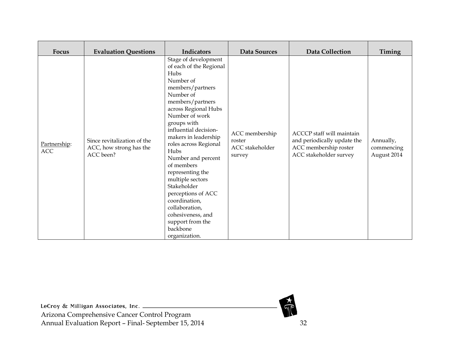| Focus                      | <b>Evaluation Questions</b>                                         | Indicators                                                                                                                                                                                                                                                                                                                                                                                                                                                                                     | Data Sources                                          | <b>Data Collection</b>                                                                                      | Timing                                 |
|----------------------------|---------------------------------------------------------------------|------------------------------------------------------------------------------------------------------------------------------------------------------------------------------------------------------------------------------------------------------------------------------------------------------------------------------------------------------------------------------------------------------------------------------------------------------------------------------------------------|-------------------------------------------------------|-------------------------------------------------------------------------------------------------------------|----------------------------------------|
| Partnership:<br><b>ACC</b> | Since revitalization of the<br>ACC, how strong has the<br>ACC been? | Stage of development<br>of each of the Regional<br>Hubs<br>Number of<br>members/partners<br>Number of<br>members/partners<br>across Regional Hubs<br>Number of work<br>groups with<br>influential decision-<br>makers in leadership<br>roles across Regional<br>Hubs<br>Number and percent<br>of members<br>representing the<br>multiple sectors<br>Stakeholder<br>perceptions of ACC<br>coordination,<br>collaboration,<br>cohesiveness, and<br>support from the<br>backbone<br>organization. | ACC membership<br>roster<br>ACC stakeholder<br>survey | ACCCP staff will maintain<br>and periodically update the<br>ACC membership roster<br>ACC stakeholder survey | Annually,<br>commencing<br>August 2014 |

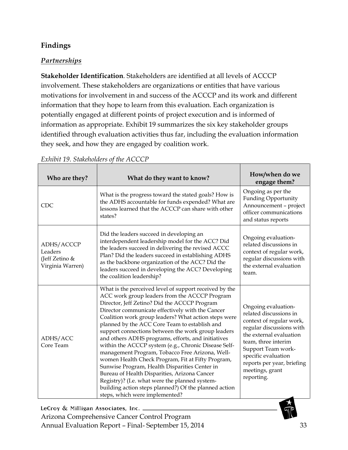#### <span id="page-32-0"></span>**Findings**

#### <span id="page-32-1"></span>*Partnerships*

**Stakeholder Identification**. Stakeholders are identified at all levels of ACCCP involvement. These stakeholders are organizations or entities that have various motivations for involvement in and success of the ACCCP and its work and different information that they hope to learn from this evaluation. Each organization is potentially engaged at different points of project execution and is informed of information as appropriate. Exhibit 19 summarizes the six key stakeholder groups identified through evaluation activities thus far, including the evaluation information they seek, and how they are engaged by coalition work.

| Who are they?                                               | What do they want to know?                                                                                                                                                                                                                                                                                                                                                                                                                                                                                                                                                                                                                                                                                                                                                                                                                     | How/when do we<br>engage them?                                                                                                                                                                                                                                      |
|-------------------------------------------------------------|------------------------------------------------------------------------------------------------------------------------------------------------------------------------------------------------------------------------------------------------------------------------------------------------------------------------------------------------------------------------------------------------------------------------------------------------------------------------------------------------------------------------------------------------------------------------------------------------------------------------------------------------------------------------------------------------------------------------------------------------------------------------------------------------------------------------------------------------|---------------------------------------------------------------------------------------------------------------------------------------------------------------------------------------------------------------------------------------------------------------------|
| <b>CDC</b>                                                  | What is the progress toward the stated goals? How is<br>the ADHS accountable for funds expended? What are<br>lessons learned that the ACCCP can share with other<br>states?                                                                                                                                                                                                                                                                                                                                                                                                                                                                                                                                                                                                                                                                    | Ongoing as per the<br><b>Funding Opportunity</b><br>Announcement - project<br>officer communications<br>and status reports                                                                                                                                          |
| ADHS/ACCCP<br>Leaders<br>(Jeff Zetino &<br>Virginia Warren) | Did the leaders succeed in developing an<br>interdependent leadership model for the ACC? Did<br>the leaders succeed in delivering the revised ACCC<br>Plan? Did the leaders succeed in establishing ADHS<br>as the backbone organization of the ACC? Did the<br>leaders succeed in developing the ACC? Developing<br>the coalition leadership?                                                                                                                                                                                                                                                                                                                                                                                                                                                                                                 | Ongoing evaluation-<br>related discussions in<br>context of regular work,<br>regular discussions with<br>the external evaluation<br>team.                                                                                                                           |
| ADHS/ACC<br>Core Team                                       | What is the perceived level of support received by the<br>ACC work group leaders from the ACCCP Program<br>Director, Jeff Zetino? Did the ACCCP Program<br>Director communicate effectively with the Cancer<br>Coalition work group leaders? What action steps were<br>planned by the ACC Core Team to establish and<br>support connections between the work group leaders<br>and others ADHS programs, efforts, and initiatives<br>within the ACCCP system (e.g., Chronic Disease Self-<br>management Program, Tobacco Free Arizona, Well-<br>women Health Check Program, Fit at Fifty Program,<br>Sunwise Program, Health Disparities Center in<br>Bureau of Health Disparities, Arizona Cancer<br>Registry)? (I.e. what were the planned system-<br>building action steps planned?) Of the planned action<br>steps, which were implemented? | Ongoing evaluation-<br>related discussions in<br>context of regular work,<br>regular discussions with<br>the external evaluation<br>team, three interim<br>Support Team work-<br>specific evaluation<br>reports per year, briefing<br>meetings, grant<br>reporting. |

#### *Exhibit 19. Stakeholders of the ACCCP*

LeCroy & Milligan Associates, Inc. \_\_ Arizona Comprehensive Cancer Control Program Annual Evaluation Report – Final- September 15, 2014 33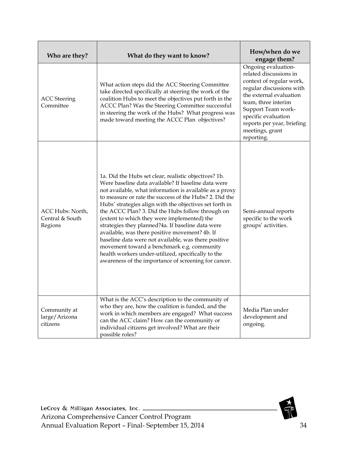| Who are they?                                  | What do they want to know?                                                                                                                                                                                                                                                                                                                                                                                                                                                                                                                                                                                                                                                                                                 | How/when do we<br>engage them?                                                                                                                                                                                                                                      |
|------------------------------------------------|----------------------------------------------------------------------------------------------------------------------------------------------------------------------------------------------------------------------------------------------------------------------------------------------------------------------------------------------------------------------------------------------------------------------------------------------------------------------------------------------------------------------------------------------------------------------------------------------------------------------------------------------------------------------------------------------------------------------------|---------------------------------------------------------------------------------------------------------------------------------------------------------------------------------------------------------------------------------------------------------------------|
| <b>ACC</b> Steering<br>Committee               | What action steps did the ACC Steering Committee<br>take directed specifically at steering the work of the<br>coalition Hubs to meet the objectives put forth in the<br>ACCC Plan? Was the Steering Committee successful<br>in steering the work of the Hubs? What progress was<br>made toward meeting the ACCC Plan objectives?                                                                                                                                                                                                                                                                                                                                                                                           | Ongoing evaluation-<br>related discussions in<br>context of regular work,<br>regular discussions with<br>the external evaluation<br>team, three interim<br>Support Team work-<br>specific evaluation<br>reports per year, briefing<br>meetings, grant<br>reporting. |
| ACC Hubs: North,<br>Central & South<br>Regions | 1a. Did the Hubs set clear, realistic objectives? 1b.<br>Were baseline data available? If baseline data were<br>not available, what information is available as a proxy<br>to measure or rate the success of the Hubs? 2. Did the<br>Hubs' strategies align with the objectives set forth in<br>the ACCC Plan? 3. Did the Hubs follow through on<br>(extent to which they were implemented) the<br>strategies they planned?4a. If baseline data were<br>available, was there positive movement? 4b. If<br>baseline data were not available, was there positive<br>movement toward a benchmark e.g. community<br>health workers under-utilized, specifically to the<br>awareness of the importance of screening for cancer. | Semi-annual reports<br>specific to the work<br>groups' activities.                                                                                                                                                                                                  |
| Community at<br>large/Arizona<br>citizens      | What is the ACC's description to the community of<br>who they are, how the coalition is funded, and the<br>work in which members are engaged? What success<br>can the ACC claim? How can the community or<br>individual citizens get involved? What are their<br>possible roles?                                                                                                                                                                                                                                                                                                                                                                                                                                           | Media Plan under<br>development and<br>ongoing.                                                                                                                                                                                                                     |

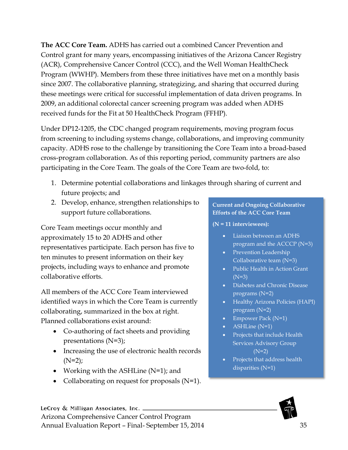**The ACC Core Team.** ADHS has carried out a combined Cancer Prevention and Control grant for many years, encompassing initiatives of the Arizona Cancer Registry (ACR), Comprehensive Cancer Control (CCC), and the Well Woman HealthCheck Program (WWHP). Members from these three initiatives have met on a monthly basis since 2007. The collaborative planning, strategizing, and sharing that occurred during these meetings were critical for successful implementation of data driven programs. In 2009, an additional colorectal cancer screening program was added when ADHS received funds for the Fit at 50 HealthCheck Program (FFHP).

Under DP12-1205, the CDC changed program requirements, moving program focus from screening to including systems change, collaborations, and improving community capacity. ADHS rose to the challenge by transitioning the Core Team into a broad-based cross-program collaboration. As of this reporting period, community partners are also participating in the Core Team. The goals of the Core Team are two-fold, to:

- 1. Determine potential collaborations and linkages through sharing of current and future projects; and
- 2. Develop, enhance, strengthen relationships to support future collaborations.

Core Team meetings occur monthly and approximately 15 to 20 ADHS and other representatives participate. Each person has five to ten minutes to present information on their key projects, including ways to enhance and promote collaborative efforts.

All members of the ACC Core Team interviewed identified ways in which the Core Team is currently collaborating, summarized in the box at right. Planned collaborations exist around:

- Co-authoring of fact sheets and providing presentations (N=3);
- $(N=2);$
- Collaborating on request for proposals (N=1).

# • Increasing the use of electronic health records • Working with the ASHLine (N=1); and

#### LeCroy & Milligan Associates, Inc. \_ Arizona Comprehensive Cancer Control Program Annual Evaluation Report – Final- September 15, 2014

#### **Current and Ongoing Collaborative Efforts of the ACC Core Team**

#### **(N = 11 interviewees):**

- Liaison between an ADHS program and the ACCCP (N=3)
- Prevention Leadership Collaborative team (N=3)
- Public Health in Action Grant (N=3)
- Diabetes and Chronic Disease programs (N=2)
- Healthy Arizona Policies (HAPI) program (N=2)
- Empower Pack (N=1)
- ASHLine (N=1)
- Projects that include Health Services Advisory Group  $(N=2)$
- Projects that address health disparities (N=1)

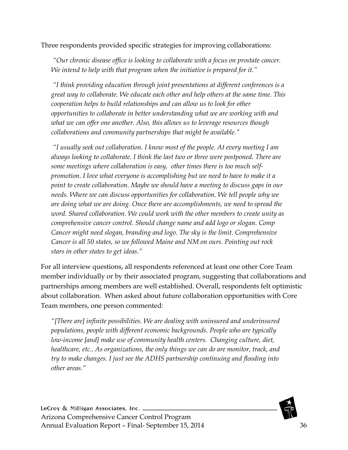Three respondents provided specific strategies for improving collaborations:

*"Our chronic disease office is looking to collaborate with a focus on prostate cancer. We intend to help with that program when the initiative is prepared for it."*

*"I think providing education through joint presentations at different conferences is a great way to collaborate. We educate each other and help others at the same time. This cooperation helps to build relationships and can allow us to look for other opportunities to collaborate in better understanding what we are working with and what we can offer one another. Also, this allows us to leverage resources though collaborations and community partnerships that might be available."*

*"I usually seek out collaboration. I know most of the people. At every meeting I am always looking to collaborate. I think the last two or three were postponed. There are some meetings where collaboration is easy, other times there is too much selfpromotion. I love what everyone is accomplishing but we need to have to make it a point to create collaboration. Maybe we should have a meeting to discuss gaps in our needs. Where we can discuss opportunities for collaboration. We tell people why we are doing what we are doing. Once there are accomplishments, we need to spread the word. Shared collaboration. We could work with the other members to create unity as comprehensive cancer control. Should change name and add logo or slogan. Comp Cancer might need slogan, branding and logo. The sky is the limit. Comprehensive Cancer is all 50 states, so we followed Maine and NM on ours. Pointing out rock stars in other states to get ideas."*

For all interview questions, all respondents referenced at least one other Core Team member individually or by their associated program, suggesting that collaborations and partnerships among members are well established. Overall, respondents felt optimistic about collaboration. When asked about future collaboration opportunities with Core Team members, one person commented:

*"[There are] infinite possibilities. We are dealing with uninsured and underinsured populations, people with different economic backgrounds. People who are typically low-income [and] make use of community health centers. Changing culture, diet, healthcare, etc.. As organizations, the only things we can do are monitor, track, and try to make changes. I just see the ADHS partnership continuing and flooding into other areas."*

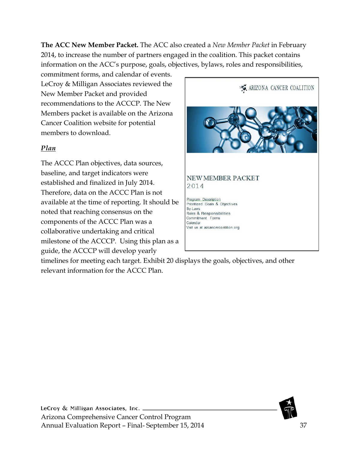**The ACC New Member Packet.** The ACC also created a *New Member Packet* in February 2014, to increase the number of partners engaged in the coalition. This packet contains information on the ACC's purpose, goals, objectives, bylaws, roles and responsibilities,

commitment forms, and calendar of events. LeCroy & Milligan Associates reviewed the New Member Packet and provided recommendations to the ACCCP. The New Members packet is available on the Arizona Cancer Coalition website for potential members to download.

#### <span id="page-36-0"></span>*Plan*

The ACCC Plan objectives, data sources, baseline, and target indicators were established and finalized in July 2014. Therefore, data on the ACCC Plan is not available at the time of reporting. It should be noted that reaching consensus on the components of the ACCC Plan was a collaborative undertaking and critical milestone of the ACCCP. Using this plan as a guide, the ACCCP will develop yearly



timelines for meeting each target. Exhibit 20 displays the goals, objectives, and other relevant information for the ACCC Plan.

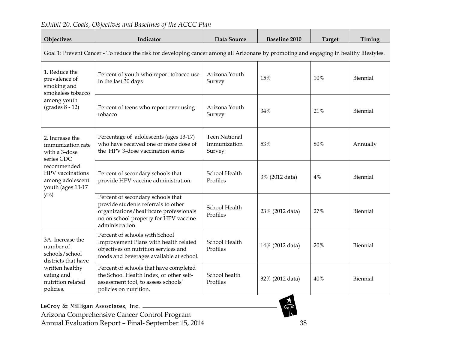<span id="page-37-0"></span>

| Objectives                                                                                                                                              | Indicator                                                                                                                                                                     | Data Source                                    | <b>Baseline 2010</b> | <b>Target</b> | Timing   |
|---------------------------------------------------------------------------------------------------------------------------------------------------------|-------------------------------------------------------------------------------------------------------------------------------------------------------------------------------|------------------------------------------------|----------------------|---------------|----------|
|                                                                                                                                                         | Goal 1: Prevent Cancer - To reduce the risk for developing cancer among all Arizonans by promoting and engaging in healthy lifestyles.                                        |                                                |                      |               |          |
| 1. Reduce the<br>prevalence of<br>smoking and<br>smokeless tobacco                                                                                      | Percent of youth who report tobacco use<br>in the last 30 days                                                                                                                | Arizona Youth<br>Survey                        | 15%                  | 10%           | Biennial |
| among youth<br>$(grades 8 - 12)$                                                                                                                        | Percent of teens who report ever using<br>tobacco                                                                                                                             | Arizona Youth<br>Survey                        | 34%                  | 21%           | Biennial |
| 2. Increase the<br>immunization rate<br>with a 3-dose<br>series CDC<br>recommended<br>HPV vaccinations<br>among adolescent<br>youth (ages 13-17<br>yrs) | Percentage of adolescents (ages 13-17)<br>who have received one or more dose of<br>the HPV 3-dose vaccination series                                                          | <b>Teen National</b><br>Immunization<br>Survey | 53%                  | 80%           | Annually |
|                                                                                                                                                         | Percent of secondary schools that<br>provide HPV vaccine administration.                                                                                                      | School Health<br>Profiles                      | 3% (2012 data)       | 4%            | Biennial |
|                                                                                                                                                         | Percent of secondary schools that<br>provide students referrals to other<br>organizations/healthcare professionals<br>no on school property for HPV vaccine<br>administration | School Health<br>Profiles                      | 23% (2012 data)      | 27%           | Biennial |
| 3A. Increase the<br>number of<br>schools/school<br>districts that have                                                                                  | Percent of schools with School<br>Improvement Plans with health related<br>objectives on nutrition services and<br>foods and beverages available at school.                   | School Health<br>Profiles                      | 14% (2012 data)      | 20%           | Biennial |
| written healthy<br>eating and<br>nutrition related<br>policies.                                                                                         | Percent of schools that have completed<br>the School Health Index, or other self-<br>assessment tool, to assess schools'<br>policies on nutrition.                            | School health<br>Profiles                      | 32% (2012 data)      | 40%           | Biennial |

*Exhibit 20. Goals, Objectives and Baselines of the ACCC Plan*

Arizona Comprehensive Cancer Control Program Annual Evaluation Report – Final- September 15, 2014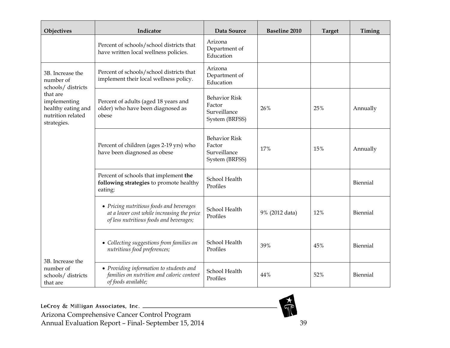| Objectives                                                                         | Indicator                                                                                                                         | Data Source                                                      | <b>Baseline 2010</b> | <b>Target</b> | Timing   |
|------------------------------------------------------------------------------------|-----------------------------------------------------------------------------------------------------------------------------------|------------------------------------------------------------------|----------------------|---------------|----------|
|                                                                                    | Percent of schools/school districts that<br>have written local wellness policies.                                                 | Arizona<br>Department of<br>Education                            |                      |               |          |
| 3B. Increase the<br>number of<br>schools/districts                                 | Percent of schools/school districts that<br>implement their local wellness policy.                                                | Arizona<br>Department of<br>Education                            |                      |               |          |
| that are<br>implementing<br>healthy eating and<br>nutrition related<br>strategies. | Percent of adults (aged 18 years and<br>older) who have been diagnosed as<br>obese                                                | <b>Behavior Risk</b><br>Factor<br>Surveillance<br>System (BRFSS) | 26%                  | 25%           | Annually |
|                                                                                    | Percent of children (ages 2-19 yrs) who<br>have been diagnosed as obese                                                           | <b>Behavior Risk</b><br>Factor<br>Surveillance<br>System (BRFSS) | 17%                  | 15%           | Annually |
|                                                                                    | Percent of schools that implement the<br>following strategies to promote healthy<br>eating:                                       | School Health<br>Profiles                                        |                      |               | Biennial |
|                                                                                    | • Pricing nutritious foods and beverages<br>at a lower cost while increasing the price<br>of less nutritious foods and beverages; | School Health<br>Profiles                                        | 9% (2012 data)       | 12%           | Biennial |
|                                                                                    | • Collecting suggestions from families on<br>nutritious food preferences;                                                         | School Health<br>Profiles                                        | 39%                  | 45%           | Biennial |
| 3B. Increase the<br>number of<br>schools/districts<br>that are                     | • Providing information to students and<br>families on nutrition and caloric content<br>of foods available;                       | School Health<br>Profiles                                        | 44%                  | 52%           | Biennial |

Arizona Comprehensive Cancer Control Program Annual Evaluation Report – Final- September 15, 2014

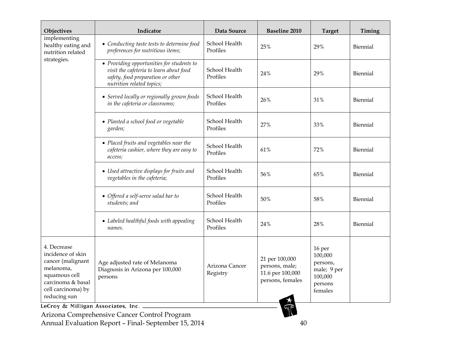| Objectives                                                                                                                                     | Indicator                                                                                                                                              | Data Source                | <b>Baseline 2010</b>                                                     | <b>Target</b>                                                                 | Timing   |
|------------------------------------------------------------------------------------------------------------------------------------------------|--------------------------------------------------------------------------------------------------------------------------------------------------------|----------------------------|--------------------------------------------------------------------------|-------------------------------------------------------------------------------|----------|
| implementing<br>healthy eating and<br>nutrition related<br>strategies.                                                                         | • Conducting taste tests to determine food<br>preferences for nutritious items;                                                                        | School Health<br>Profiles  | 25%                                                                      | 29%                                                                           | Biennial |
|                                                                                                                                                | • Providing opportunities for students to<br>visit the cafeteria to learn about food<br>safety, food preparation or other<br>nutrition related topics; | School Health<br>Profiles  | 24%                                                                      | 29%                                                                           | Biennial |
|                                                                                                                                                | • Served locally or regionally grown foods<br>in the cafeteria or classrooms;                                                                          | School Health<br>Profiles  | 26%                                                                      | 31%                                                                           | Biennial |
|                                                                                                                                                | • Planted a school food or vegetable<br>garden;                                                                                                        | School Health<br>Profiles  | 27%                                                                      | 33%                                                                           | Biennial |
|                                                                                                                                                | • Placed fruits and vegetables near the<br>cafeteria cashier, where they are easy to<br>access;                                                        | School Health<br>Profiles  | 61%                                                                      | 72%                                                                           | Biennial |
|                                                                                                                                                | • Used attractive displays for fruits and<br>vegetables in the cafeteria;                                                                              | School Health<br>Profiles  | 56%                                                                      | 65%                                                                           | Biennial |
|                                                                                                                                                | • Offered a self-serve salad bar to<br>students; and                                                                                                   | School Health<br>Profiles  | 50%                                                                      | 58%                                                                           | Biennial |
|                                                                                                                                                | • Labeled healthful foods with appealing<br>names.                                                                                                     | School Health<br>Profiles  | 24%                                                                      | 28%                                                                           | Biennial |
| 4. Decrease<br>incidence of skin<br>cancer (malignant<br>melanoma,<br>squamous cell<br>carcinoma & basal<br>cell carcinoma) by<br>reducing sun | Age adjusted rate of Melanoma<br>Diagnosis in Arizona per 100,000<br>persons                                                                           | Arizona Cancer<br>Registry | 21 per 100,000<br>persons, male;<br>11.6 per 100,000<br>persons, females | 16 per<br>100,000<br>persons,<br>male; 9 per<br>100,000<br>persons<br>females |          |
| LeCroy & Milligan Associates, Inc.                                                                                                             | Arizona Comprehensive Cancer Control Program                                                                                                           |                            |                                                                          |                                                                               |          |

Arizona Comprehensive Cancer Control Program Annual Evaluation Report – Final- September 15, 2014 40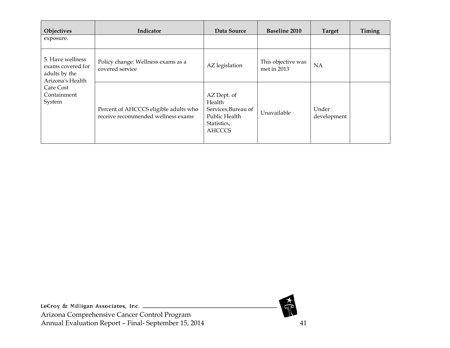| Objectives                                                                 | Indicator                                                                   | Data Source                                                                                   | <b>Baseline 2010</b>              | <b>Target</b>        | Timing |
|----------------------------------------------------------------------------|-----------------------------------------------------------------------------|-----------------------------------------------------------------------------------------------|-----------------------------------|----------------------|--------|
| exposure.                                                                  |                                                                             |                                                                                               |                                   |                      |        |
| 5. Have wellness<br>exams covered for<br>adults by the<br>Arizona's Health | Policy change: Wellness exams as a<br>covered service                       | AZ legislation                                                                                | This objective was<br>met in 2013 | <b>NA</b>            |        |
| Care Cost<br>Containment<br>System                                         | Percent of AHCCCS eligible adults who<br>receive recommended wellness exams | AZ Dept. of<br>Health<br>Services, Bureau of<br>Public Health<br>Statistics,<br><b>AHCCCS</b> | Unavailable                       | Under<br>development |        |

LeCroy & Milligan Associates, Inc. Arizona Comprehensive Cancer Control Program Annual Evaluation Report – Final- September 15, 2014 41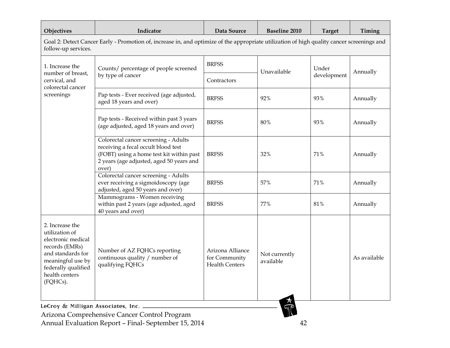| Objectives                                                                                                                                                               | Indicator                                                                                                                                                                    | Data Source                                                | <b>Baseline 2010</b>       | <b>Target</b>        | Timing       |
|--------------------------------------------------------------------------------------------------------------------------------------------------------------------------|------------------------------------------------------------------------------------------------------------------------------------------------------------------------------|------------------------------------------------------------|----------------------------|----------------------|--------------|
| Goal 2: Detect Cancer Early - Promotion of, increase in, and optimize of the appropriate utilization of high quality cancer screenings and<br>follow-up services.        |                                                                                                                                                                              |                                                            |                            |                      |              |
| 1. Increase the                                                                                                                                                          | Counts/ percentage of people screened                                                                                                                                        | <b>BRFSS</b>                                               | Unavailable                | Under<br>development | Annually     |
| number of breast,<br>cervical, and<br>colorectal cancer                                                                                                                  | by type of cancer                                                                                                                                                            | Contractors                                                |                            |                      |              |
| screenings                                                                                                                                                               | Pap tests - Ever received (age adjusted,<br>aged 18 years and over)                                                                                                          | <b>BRFSS</b>                                               | 92%                        | 93%                  | Annually     |
|                                                                                                                                                                          | Pap tests - Received within past 3 years<br>(age adjusted, aged 18 years and over)                                                                                           | <b>BRFSS</b>                                               | 80%                        | 93%                  | Annually     |
|                                                                                                                                                                          | Colorectal cancer screening - Adults<br>receiving a fecal occult blood test<br>(FOBT) using a home test kit within past<br>2 years (age adjusted, aged 50 years and<br>over) | <b>BRFSS</b>                                               | 32%                        | 71%                  | Annually     |
|                                                                                                                                                                          | Colorectal cancer screening - Adults<br>ever receiving a sigmoidoscopy (age<br>adjusted, aged 50 years and over)                                                             | <b>BRFSS</b>                                               | 57%                        | 71%                  | Annually     |
|                                                                                                                                                                          | Mammograms - Women receiving<br>within past 2 years (age adjusted, aged<br>40 years and over)                                                                                | <b>BRFSS</b>                                               | 77%                        | 81%                  | Annually     |
| 2. Increase the<br>utilization of<br>electronic medical<br>records (EMRs)<br>and standards for<br>meaningful use by<br>federally qualified<br>health centers<br>(FQHCs). | Number of AZ FQHCs reporting<br>continuous quality / number of<br>qualifying FQHCs                                                                                           | Arizona Alliance<br>for Community<br><b>Health Centers</b> | Not currently<br>available |                      | As available |
| LeCroy & Milligan Associates, Inc. .<br>Arizona Comprehensive Cancer Control Program                                                                                     |                                                                                                                                                                              |                                                            |                            |                      |              |

Arizona Comprehensive Cancer Control Program Annual Evaluation Report – Final- September 15, 2014 42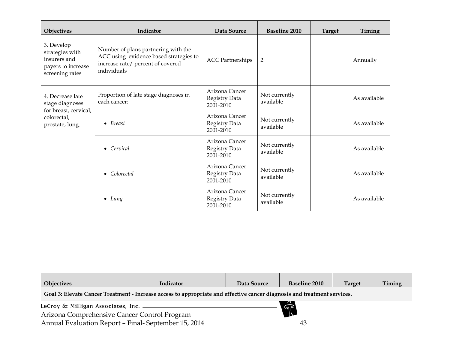| Objectives                                                                             | Indicator                                                                                                                         | Data Source                                  | <b>Baseline 2010</b>       | <b>Target</b> | Timing       |
|----------------------------------------------------------------------------------------|-----------------------------------------------------------------------------------------------------------------------------------|----------------------------------------------|----------------------------|---------------|--------------|
| 3. Develop<br>strategies with<br>insurers and<br>payers to increase<br>screening rates | Number of plans partnering with the<br>ACC using evidence based strategies to<br>increase rate/ percent of covered<br>individuals | <b>ACC Partnerships</b>                      | $\overline{2}$             |               | Annually     |
| 4. Decrease late<br>stage diagnoses                                                    | Proportion of late stage diagnoses in<br>each cancer:                                                                             | Arizona Cancer<br>Registry Data<br>2001-2010 | Not currently<br>available |               | As available |
| for breast, cervical,<br>colorectal,<br>prostate, lung.                                | $\bullet$ Breast                                                                                                                  | Arizona Cancer<br>Registry Data<br>2001-2010 | Not currently<br>available |               | As available |
|                                                                                        | $\bullet$ Cervical                                                                                                                | Arizona Cancer<br>Registry Data<br>2001-2010 | Not currently<br>available |               | As available |
|                                                                                        | • Colorectal                                                                                                                      | Arizona Cancer<br>Registry Data<br>2001-2010 | Not currently<br>available |               | As available |
|                                                                                        | $\bullet$ Lung                                                                                                                    | Arizona Cancer<br>Registry Data<br>2001-2010 | Not currently<br>available |               | As available |

| <b>Objectives</b>                                                                                                        | Indicator                          | Data Source | <b>Baseline 2010</b> | <b>Target</b> | Timing |  |  |
|--------------------------------------------------------------------------------------------------------------------------|------------------------------------|-------------|----------------------|---------------|--------|--|--|
| Goal 3: Elevate Cancer Treatment - Increase access to appropriate and effective cancer diagnosis and treatment services. |                                    |             |                      |               |        |  |  |
|                                                                                                                          | LeCroy & Milligan Associates, Inc. |             |                      |               |        |  |  |
| $\mathbb{T}$<br>Arizona Comprehensive Cancer Control Program                                                             |                                    |             |                      |               |        |  |  |
| Annual Evaluation Report - Final-September 15, 2014<br>43                                                                |                                    |             |                      |               |        |  |  |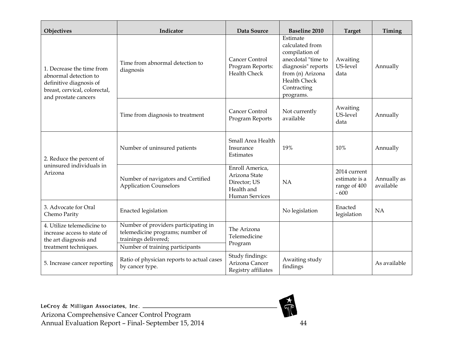| Objectives                                                                                                                             | Indicator                                                                                                                           | Data Source                                                                      | <b>Baseline 2010</b>                                                                                                                                             | <b>Target</b>                                           | Timing                   |
|----------------------------------------------------------------------------------------------------------------------------------------|-------------------------------------------------------------------------------------------------------------------------------------|----------------------------------------------------------------------------------|------------------------------------------------------------------------------------------------------------------------------------------------------------------|---------------------------------------------------------|--------------------------|
| 1. Decrease the time from<br>abnormal detection to<br>definitive diagnosis of<br>breast, cervical, colorectal,<br>and prostate cancers | Time from abnormal detection to<br>diagnosis                                                                                        | Cancer Control<br>Program Reports:<br><b>Health Check</b>                        | Estimate<br>calculated from<br>compilation of<br>anecdotal "time to<br>diagnosis" reports<br>from (n) Arizona<br><b>Health Check</b><br>Contracting<br>programs. | Awaiting<br>US-level<br>data                            | Annually                 |
|                                                                                                                                        | Time from diagnosis to treatment                                                                                                    | Cancer Control<br>Program Reports                                                | Not currently<br>available                                                                                                                                       | Awaiting<br>US-level<br>data                            | Annually                 |
| 2. Reduce the percent of                                                                                                               | Number of uninsured patients                                                                                                        | Small Area Health<br>Insurance<br>Estimates                                      | 19%                                                                                                                                                              | 10%                                                     | Annually                 |
| uninsured individuals in<br>Arizona                                                                                                    | Number of navigators and Certified<br><b>Application Counselors</b>                                                                 | Enroll America,<br>Arizona State<br>Director; US<br>Health and<br>Human Services | NA                                                                                                                                                               | 2014 current<br>estimate is a<br>range of 400<br>$-600$ | Annually as<br>available |
| 3. Advocate for Oral<br>Chemo Parity                                                                                                   | <b>Enacted</b> legislation                                                                                                          |                                                                                  | No legislation                                                                                                                                                   | Enacted<br>legislation                                  | NA                       |
| 4. Utilize telemedicine to<br>increase access to state of<br>the art diagnosis and<br>treatment techniques.                            | Number of providers participating in<br>telemedicine programs; number of<br>trainings delivered;<br>Number of training participants | The Arizona<br>Telemedicine<br>Program                                           |                                                                                                                                                                  |                                                         |                          |
| 5. Increase cancer reporting                                                                                                           | Ratio of physician reports to actual cases<br>by cancer type.                                                                       | Study findings:<br>Arizona Cancer<br>Registry affiliates                         | Awaiting study<br>findings                                                                                                                                       |                                                         | As available             |

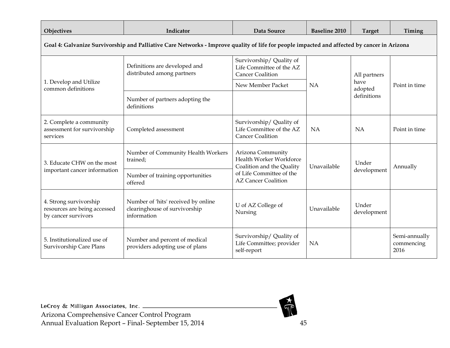| Objectives                                                                                                                                  | Indicator                                                                           | Data Source                                                                     | <b>Baseline 2010</b> | <b>Target</b>                                  | Timing                              |  |
|---------------------------------------------------------------------------------------------------------------------------------------------|-------------------------------------------------------------------------------------|---------------------------------------------------------------------------------|----------------------|------------------------------------------------|-------------------------------------|--|
| Goal 4: Galvanize Survivorship and Palliative Care Networks - Improve quality of life for people impacted and affected by cancer in Arizona |                                                                                     |                                                                                 |                      |                                                |                                     |  |
|                                                                                                                                             | Definitions are developed and<br>distributed among partners                         | Survivorship/ Quality of<br>Life Committee of the AZ<br><b>Cancer Coalition</b> |                      | All partners<br>have<br>adopted<br>definitions | Point in time                       |  |
| 1. Develop and Utilize<br>common definitions                                                                                                |                                                                                     | New Member Packet                                                               | NA                   |                                                |                                     |  |
|                                                                                                                                             | Number of partners adopting the<br>definitions                                      |                                                                                 |                      |                                                |                                     |  |
| 2. Complete a community<br>assessment for survivorship<br>services                                                                          | Completed assessment                                                                | Survivorship/ Quality of<br>Life Committee of the AZ<br><b>Cancer Coalition</b> | NA                   | NA                                             | Point in time                       |  |
| 3. Educate CHW on the most                                                                                                                  | Number of Community Health Workers<br>trained;                                      | Arizona Community<br>Health Worker Workforce<br>Coalition and the Quality       | Unavailable          | Under<br>development                           | Annually                            |  |
| important cancer information                                                                                                                | Number of training opportunities<br>offered                                         | of Life Committee of the<br><b>AZ Cancer Coalition</b>                          |                      |                                                |                                     |  |
| 4. Strong survivorship<br>resources are being accessed<br>by cancer survivors                                                               | Number of 'hits' received by online<br>clearinghouse of survivorship<br>information | U of AZ College of<br>Nursing                                                   | Unavailable          | Under<br>development                           |                                     |  |
| 5. Institutionalized use of<br>Survivorship Care Plans                                                                                      | Number and percent of medical<br>providers adopting use of plans                    | Survivorship/ Quality of<br>Life Committee; provider<br>self-report             | <b>NA</b>            |                                                | Semi-annually<br>commencing<br>2016 |  |

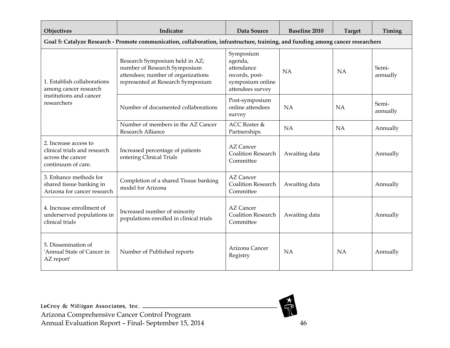| Objectives                                                                                                                       | Indicator                                                                                                                                 | Data Source                                                                                  | <b>Baseline 2010</b> | <b>Target</b> | Timing            |  |  |
|----------------------------------------------------------------------------------------------------------------------------------|-------------------------------------------------------------------------------------------------------------------------------------------|----------------------------------------------------------------------------------------------|----------------------|---------------|-------------------|--|--|
| Goal 5: Catalyze Research - Promote communication, collaboration, infrastructure, training, and funding among cancer researchers |                                                                                                                                           |                                                                                              |                      |               |                   |  |  |
| 1. Establish collaborations<br>among cancer research<br>institutions and cancer<br>researchers                                   | Research Symposium held in AZ;<br>number of Research Symposium<br>attendees; number of organizations<br>represented at Research Symposium | Symposium<br>agenda,<br>attendance<br>records, post-<br>symposium online<br>attendees survey | <b>NA</b>            | <b>NA</b>     | Semi-<br>annually |  |  |
|                                                                                                                                  | Number of documented collaborations                                                                                                       | Post-symposium<br>online attendees<br>survey                                                 | NA                   | NA            | Semi-<br>annually |  |  |
|                                                                                                                                  | Number of members in the AZ Cancer<br>Research Alliance                                                                                   | ACC Roster &<br>Partnerships                                                                 | <b>NA</b>            | NA            | Annually          |  |  |
| 2. Increase access to<br>clinical trials and research<br>across the cancer<br>continuum of care.                                 | Increased percentage of patients<br>entering Clinical Trials                                                                              | AZ Cancer<br><b>Coalition Research</b><br>Committee                                          | Awaiting data        |               | Annually          |  |  |
| 3. Enhance methods for<br>shared tissue banking in<br>Arizona for cancer research                                                | Completion of a shared Tissue banking<br>model for Arizona                                                                                | AZ Cancer<br><b>Coalition Research</b><br>Committee                                          | Awaiting data        |               | Annually          |  |  |
| 4. Increase enrollment of<br>underserved populations in<br>clinical trials                                                       | Increased number of minority<br>populations enrolled in clinical trials                                                                   | <b>AZ Cancer</b><br><b>Coalition Research</b><br>Committee                                   | Awaiting data        |               | Annually          |  |  |
| 5. Dissemination of<br>'Annual State of Cancer in<br>AZ report                                                                   | Number of Published reports                                                                                                               | Arizona Cancer<br>Registry                                                                   | NA                   | NA            | Annually          |  |  |

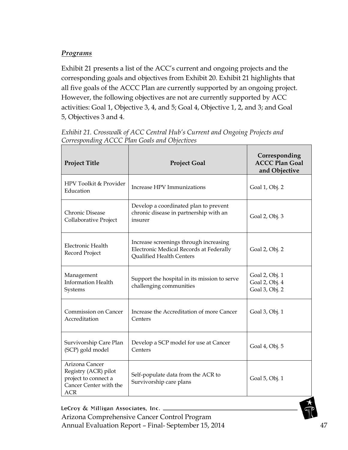#### <span id="page-46-0"></span>*Programs*

Exhibit 21 presents a list of the ACC's current and ongoing projects and the corresponding goals and objectives from Exhibit 20. [Exhibit 21](#page-46-1) highlights that all five goals of the ACCC Plan are currently supported by an ongoing project. However, the following objectives are not are currently supported by ACC activities: Goal 1, Objective 3, 4, and 5; Goal 4, Objective 1, 2, and 3; and Goal 5, Objectives 3 and 4.

| <b>Project Title</b>                                                                                   | <b>Project Goal</b>                                                                                                  | Corresponding<br><b>ACCC Plan Goal</b><br>and Objective |
|--------------------------------------------------------------------------------------------------------|----------------------------------------------------------------------------------------------------------------------|---------------------------------------------------------|
| HPV Toolkit & Provider<br>Education                                                                    | Increase HPV Immunizations                                                                                           | Goal 1, Obj. 2                                          |
| <b>Chronic Disease</b><br>Collaborative Project                                                        | Develop a coordinated plan to prevent<br>chronic disease in partnership with an<br>insurer                           | Goal 2, Obj. 3                                          |
| Electronic Health<br>Record Project                                                                    | Increase screenings through increasing<br>Electronic Medical Records at Federally<br><b>Qualified Health Centers</b> | Goal 2, Obj. 2                                          |
| Management<br><b>Information Health</b><br>Systems                                                     | Support the hospital in its mission to serve<br>challenging communities                                              | Goal 2, Obj. 1<br>Goal 2, Obj. 4<br>Goal 3, Obj. 2      |
| Commission on Cancer<br>Accreditation                                                                  | Increase the Accreditation of more Cancer<br>Centers                                                                 | Goal 3, Obj. 1                                          |
| Survivorship Care Plan<br>(SCP) gold model                                                             | Develop a SCP model for use at Cancer<br>Centers                                                                     | Goal 4, Obj. 5                                          |
| Arizona Cancer<br>Registry (ACR) pilot<br>project to connect a<br>Cancer Center with the<br><b>ACR</b> | Self-populate data from the ACR to<br>Survivorship care plans                                                        | Goal 5, Obj. 1                                          |

<span id="page-46-1"></span>*Exhibit 21. Crosswalk of ACC Central Hub's Current and Ongoing Projects and Corresponding ACCC Plan Goals and Objectives*

LeCroy & Milligan Associates, Inc. Arizona Comprehensive Cancer Control Program Annual Evaluation Report – Final- September 15, 2014 47

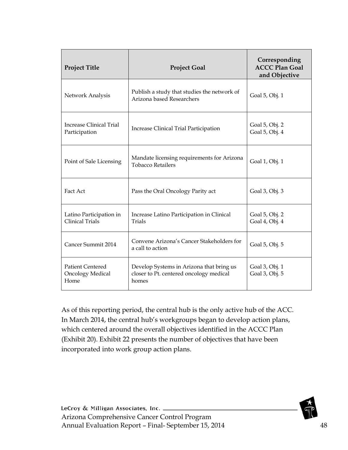| <b>Project Title</b>                                       | <b>Project Goal</b>                                                                          | Corresponding<br><b>ACCC Plan Goal</b><br>and Objective |
|------------------------------------------------------------|----------------------------------------------------------------------------------------------|---------------------------------------------------------|
| Network Analysis                                           | Publish a study that studies the network of<br>Arizona based Researchers                     | Goal 5, Obj. 1                                          |
| Increase Clinical Trial<br>Participation                   | Increase Clinical Trial Participation                                                        | Goal 5, Obj. 2<br>Goal 5, Obj. 4                        |
| Point of Sale Licensing                                    | Mandate licensing requirements for Arizona<br><b>Tobacco Retailers</b>                       | Goal 1, Obj. 1                                          |
| Fact Act                                                   | Pass the Oral Oncology Parity act                                                            | Goal 3, Obj. 3                                          |
| Latino Participation in<br><b>Clinical Trials</b>          | Increase Latino Participation in Clinical<br><b>Trials</b>                                   | Goal 5, Obj. 2<br>Goal 4, Obj. 4                        |
| Cancer Summit 2014                                         | Convene Arizona's Cancer Stakeholders for<br>a call to action                                | Goal 5, Obj. 5                                          |
| <b>Patient Centered</b><br><b>Oncology Medical</b><br>Home | Develop Systems in Arizona that bring us<br>closer to Pt. centered oncology medical<br>homes | Goal 3, Obj. 1<br>Goal 3, Obj. 5                        |

As of this reporting period, the central hub is the only active hub of the ACC. In March 2014, the central hub's workgroups began to develop action plans, which centered around the overall objectives identified in the ACCC Plan [\(Exhibit 20\)](#page-37-0). Exhibit 22 presents the number of objectives that have been incorporated into work group action plans.

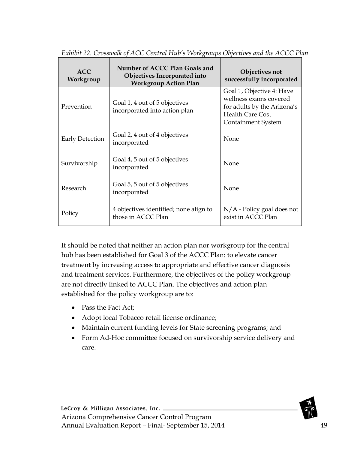| <b>ACC</b><br>Workgroup | Number of ACCC Plan Goals and<br>Objectives Incorporated into<br><b>Workgroup Action Plan</b> | Objectives not<br>successfully incorporated                                                                                                |
|-------------------------|-----------------------------------------------------------------------------------------------|--------------------------------------------------------------------------------------------------------------------------------------------|
| Prevention              | Goal 1, 4 out of 5 objectives<br>incorporated into action plan                                | Goal 1, Objective 4: Have<br>wellness exams covered<br>for adults by the Arizona's<br><b>Health Care Cost</b><br><b>Containment System</b> |
| Early Detection         | Goal 2, 4 out of 4 objectives<br>incorporated                                                 | None                                                                                                                                       |
| Survivorship            | Goal 4, 5 out of 5 objectives<br>incorporated                                                 | None                                                                                                                                       |
| Research                | Goal 5, 5 out of 5 objectives<br>incorporated                                                 | None                                                                                                                                       |
| Policy                  | 4 objectives identified; none align to<br>those in ACCC Plan                                  | $N/A$ - Policy goal does not<br>exist in ACCC Plan                                                                                         |

*Exhibit 22. Crosswalk of ACC Central Hub's Workgroups Objectives and the ACCC Plan*

It should be noted that neither an action plan nor workgroup for the central hub has been established for Goal 3 of the ACCC Plan: to elevate cancer treatment by increasing access to appropriate and effective cancer diagnosis and treatment services. Furthermore, the objectives of the policy workgroup are not directly linked to ACCC Plan. The objectives and action plan established for the policy workgroup are to:

- Pass the Fact Act;
- Adopt local Tobacco retail license ordinance;
- Maintain current funding levels for State screening programs; and
- Form Ad-Hoc committee focused on survivorship service delivery and care.

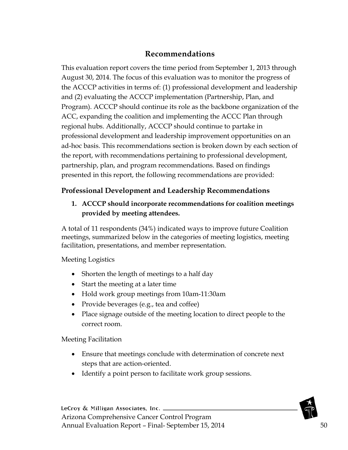## **Recommendations**

<span id="page-49-0"></span>This evaluation report covers the time period from September 1, 2013 through August 30, 2014. The focus of this evaluation was to monitor the progress of the ACCCP activities in terms of: (1) professional development and leadership and (2) evaluating the ACCCP implementation (Partnership, Plan, and Program). ACCCP should continue its role as the backbone organization of the ACC, expanding the coalition and implementing the ACCC Plan through regional hubs. Additionally, ACCCP should continue to partake in professional development and leadership improvement opportunities on an ad-hoc basis. This recommendations section is broken down by each section of the report, with recommendations pertaining to professional development, partnership, plan, and program recommendations. Based on findings presented in this report, the following recommendations are provided:

#### <span id="page-49-1"></span>**Professional Development and Leadership Recommendations**

#### **1. ACCCP should incorporate recommendations for coalition meetings provided by meeting attendees.**

A total of 11 respondents (34%) indicated ways to improve future Coalition meetings, summarized below in the categories of meeting logistics, meeting facilitation, presentations, and member representation.

#### Meeting Logistics

- Shorten the length of meetings to a half day
- Start the meeting at a later time
- Hold work group meetings from 10am-11:30am
- Provide beverages (e.g., tea and coffee)
- Place signage outside of the meeting location to direct people to the correct room.

#### Meeting Facilitation

- Ensure that meetings conclude with determination of concrete next steps that are action-oriented.
- Identify a point person to facilitate work group sessions.

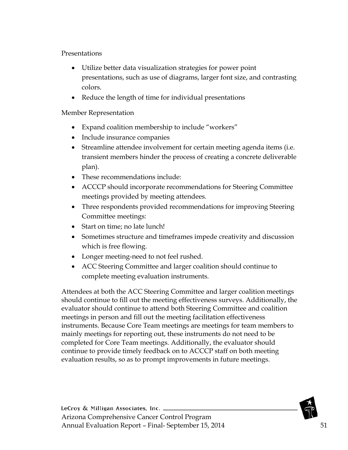#### Presentations

- Utilize better data visualization strategies for power point presentations, such as use of diagrams, larger font size, and contrasting colors.
- Reduce the length of time for individual presentations

#### Member Representation

- Expand coalition membership to include "workers"
- Include insurance companies
- Streamline attendee involvement for certain meeting agenda items (i.e. transient members hinder the process of creating a concrete deliverable plan).
- These recommendations include:
- ACCCP should incorporate recommendations for Steering Committee meetings provided by meeting attendees.
- Three respondents provided recommendations for improving Steering Committee meetings:
- Start on time; no late lunch!
- Sometimes structure and timeframes impede creativity and discussion which is free flowing.
- Longer meeting-need to not feel rushed.
- ACC Steering Committee and larger coalition should continue to complete meeting evaluation instruments.

Attendees at both the ACC Steering Committee and larger coalition meetings should continue to fill out the meeting effectiveness surveys. Additionally, the evaluator should continue to attend both Steering Committee and coalition meetings in person and fill out the meeting facilitation effectiveness instruments. Because Core Team meetings are meetings for team members to mainly meetings for reporting out, these instruments do not need to be completed for Core Team meetings. Additionally, the evaluator should continue to provide timely feedback on to ACCCP staff on both meeting evaluation results, so as to prompt improvements in future meetings.

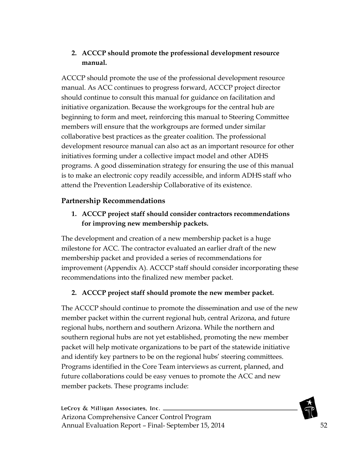#### **2. ACCCP should promote the professional development resource manual.**

ACCCP should promote the use of the professional development resource manual. As ACC continues to progress forward, ACCCP project director should continue to consult this manual for guidance on facilitation and initiative organization. Because the workgroups for the central hub are beginning to form and meet, reinforcing this manual to Steering Committee members will ensure that the workgroups are formed under similar collaborative best practices as the greater coalition. The professional development resource manual can also act as an important resource for other initiatives forming under a collective impact model and other ADHS programs. A good dissemination strategy for ensuring the use of this manual is to make an electronic copy readily accessible, and inform ADHS staff who attend the Prevention Leadership Collaborative of its existence.

## <span id="page-51-0"></span>**Partnership Recommendations**

**1. ACCCP project staff should consider contractors recommendations for improving new membership packets.**

The development and creation of a new membership packet is a huge milestone for ACC. The contractor evaluated an earlier draft of the new membership packet and provided a series of recommendations for improvement (Appendix A). ACCCP staff should consider incorporating these recommendations into the finalized new member packet.

#### **2. ACCCP project staff should promote the new member packet.**

The ACCCP should continue to promote the dissemination and use of the new member packet within the current regional hub, central Arizona, and future regional hubs, northern and southern Arizona. While the northern and southern regional hubs are not yet established, promoting the new member packet will help motivate organizations to be part of the statewide initiative and identify key partners to be on the regional hubs' steering committees. Programs identified in the Core Team interviews as current, planned, and future collaborations could be easy venues to promote the ACC and new member packets. These programs include:

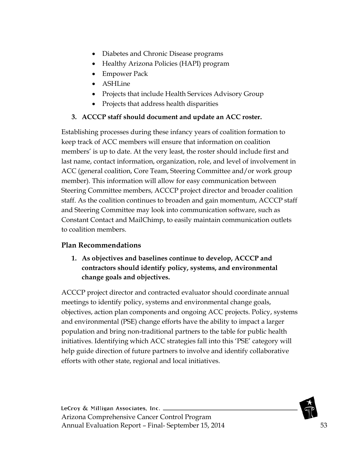- Diabetes and Chronic Disease programs
- Healthy Arizona Policies (HAPI) program
- Empower Pack
- ASHLine
- Projects that include Health Services Advisory Group
- Projects that address health disparities

#### **3. ACCCP staff should document and update an ACC roster.**

Establishing processes during these infancy years of coalition formation to keep track of ACC members will ensure that information on coalition members' is up to date. At the very least, the roster should include first and last name, contact information, organization, role, and level of involvement in ACC (general coalition, Core Team, Steering Committee and/or work group member). This information will allow for easy communication between Steering Committee members, ACCCP project director and broader coalition staff. As the coalition continues to broaden and gain momentum, ACCCP staff and Steering Committee may look into communication software, such as Constant Contact and MailChimp, to easily maintain communication outlets to coalition members.

#### <span id="page-52-0"></span>**Plan Recommendations**

#### **1. As objectives and baselines continue to develop, ACCCP and contractors should identify policy, systems, and environmental change goals and objectives.**

ACCCP project director and contracted evaluator should coordinate annual meetings to identify policy, systems and environmental change goals, objectives, action plan components and ongoing ACC projects. Policy, systems and environmental (PSE) change efforts have the ability to impact a larger population and bring non-traditional partners to the table for public health initiatives. Identifying which ACC strategies fall into this 'PSE' category will help guide direction of future partners to involve and identify collaborative efforts with other state, regional and local initiatives.

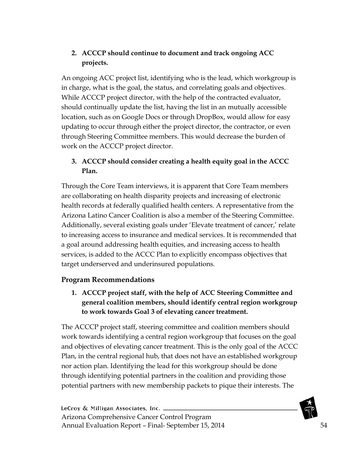#### **2. ACCCP should continue to document and track ongoing ACC projects.**

An ongoing ACC project list, identifying who is the lead, which workgroup is in charge, what is the goal, the status, and correlating goals and objectives. While ACCCP project director, with the help of the contracted evaluator, should continually update the list, having the list in an mutually accessible location, such as on Google Docs or through DropBox, would allow for easy updating to occur through either the project director, the contractor, or even through Steering Committee members. This would decrease the burden of work on the ACCCP project director.

#### **3. ACCCP should consider creating a health equity goal in the ACCC Plan.**

Through the Core Team interviews, it is apparent that Core Team members are collaborating on health disparity projects and increasing of electronic health records at federally qualified health centers. A representative from the Arizona Latino Cancer Coalition is also a member of the Steering Committee. Additionally, several existing goals under 'Elevate treatment of cancer,' relate to increasing access to insurance and medical services. It is recommended that a goal around addressing health equities, and increasing access to health services, is added to the ACCC Plan to explicitly encompass objectives that target underserved and underinsured populations.

#### <span id="page-53-0"></span>**Program Recommendations**

**1. ACCCP project staff, with the help of ACC Steering Committee and general coalition members, should identify central region workgroup to work towards Goal 3 of elevating cancer treatment.**

The ACCCP project staff, steering committee and coalition members should work towards identifying a central region workgroup that focuses on the goal and objectives of elevating cancer treatment. This is the only goal of the ACCC Plan, in the central regional hub, that does not have an established workgroup nor action plan. Identifying the lead for this workgroup should be done through identifying potential partners in the coalition and providing those potential partners with new membership packets to pique their interests. The

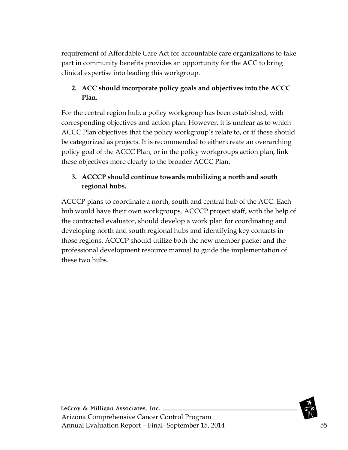requirement of Affordable Care Act for accountable care organizations to take part in community benefits provides an opportunity for the ACC to bring clinical expertise into leading this workgroup.

#### **2. ACC should incorporate policy goals and objectives into the ACCC Plan.**

For the central region hub, a policy workgroup has been established, with corresponding objectives and action plan. However, it is unclear as to which ACCC Plan objectives that the policy workgroup's relate to, or if these should be categorized as projects. It is recommended to either create an overarching policy goal of the ACCC Plan, or in the policy workgroups action plan, link these objectives more clearly to the broader ACCC Plan.

#### **3. ACCCP should continue towards mobilizing a north and south regional hubs.**

ACCCP plans to coordinate a north, south and central hub of the ACC. Each hub would have their own workgroups. ACCCP project staff, with the help of the contracted evaluator, should develop a work plan for coordinating and developing north and south regional hubs and identifying key contacts in those regions. ACCCP should utilize both the new member packet and the professional development resource manual to guide the implementation of these two hubs.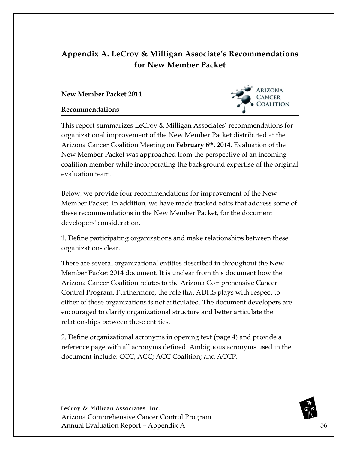# <span id="page-55-0"></span>**Appendix A. LeCroy & Milligan Associate's Recommendations for New Member Packet**

#### **New Member Packet 2014**

#### **Recommendations**



This report summarizes LeCroy & Milligan Associates' recommendations for organizational improvement of the New Member Packet distributed at the Arizona Cancer Coalition Meeting on **February 6th, 2014**. Evaluation of the New Member Packet was approached from the perspective of an incoming coalition member while incorporating the background expertise of the original evaluation team.

Below, we provide four recommendations for improvement of the New Member Packet. In addition, we have made tracked edits that address some of these recommendations in the New Member Packet, for the document developers' consideration.

1. Define participating organizations and make relationships between these organizations clear.

There are several organizational entities described in throughout the New Member Packet 2014 document. It is unclear from this document how the Arizona Cancer Coalition relates to the Arizona Comprehensive Cancer Control Program. Furthermore, the role that ADHS plays with respect to either of these organizations is not articulated. The document developers are encouraged to clarify organizational structure and better articulate the relationships between these entities.

2. Define organizational acronyms in opening text (page 4) and provide a reference page with all acronyms defined. Ambiguous acronyms used in the document include: CCC; ACC; ACC Coalition; and ACCP.

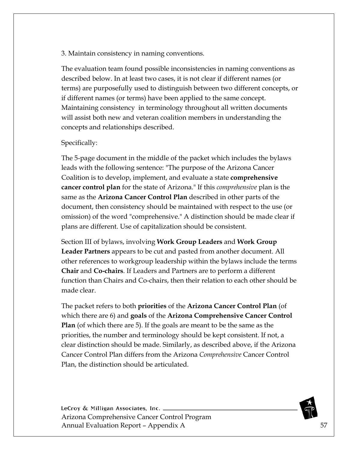#### 3. Maintain consistency in naming conventions.

The evaluation team found possible inconsistencies in naming conventions as described below. In at least two cases, it is not clear if different names (or terms) are purposefully used to distinguish between two different concepts, or if different names (or terms) have been applied to the same concept. Maintaining consistency in terminology throughout all written documents will assist both new and veteran coalition members in understanding the concepts and relationships described.

#### Specifically:

The 5-page document in the middle of the packet which includes the bylaws leads with the following sentence: "The purpose of the Arizona Cancer Coalition is to develop, implement, and evaluate a state **comprehensive cancer control plan** for the state of Arizona." If this *comprehensive* plan is the same as the **Arizona Cancer Control Plan** described in other parts of the document, then consistency should be maintained with respect to the use (or omission) of the word "comprehensive." A distinction should be made clear if plans are different. Use of capitalization should be consistent.

Section III of bylaws, involving **Work Group Leaders** and **Work Group Leader Partners** appears to be cut and pasted from another document. All other references to workgroup leadership within the bylaws include the terms **Chair** and **Co-chairs**. If Leaders and Partners are to perform a different function than Chairs and Co-chairs, then their relation to each other should be made clear.

The packet refers to both **priorities** of the **Arizona Cancer Control Plan** (of which there are 6) and **goals** of the **Arizona Comprehensive Cancer Control Plan** (of which there are 5). If the goals are meant to be the same as the priorities, the number and terminology should be kept consistent. If not, a clear distinction should be made. Similarly, as described above, if the Arizona Cancer Control Plan differs from the Arizona *Comprehensive* Cancer Control Plan, the distinction should be articulated.

LeCroy & Milligan Associates, Inc. \_ Arizona Comprehensive Cancer Control Program Annual Evaluation Report – Appendix A 57